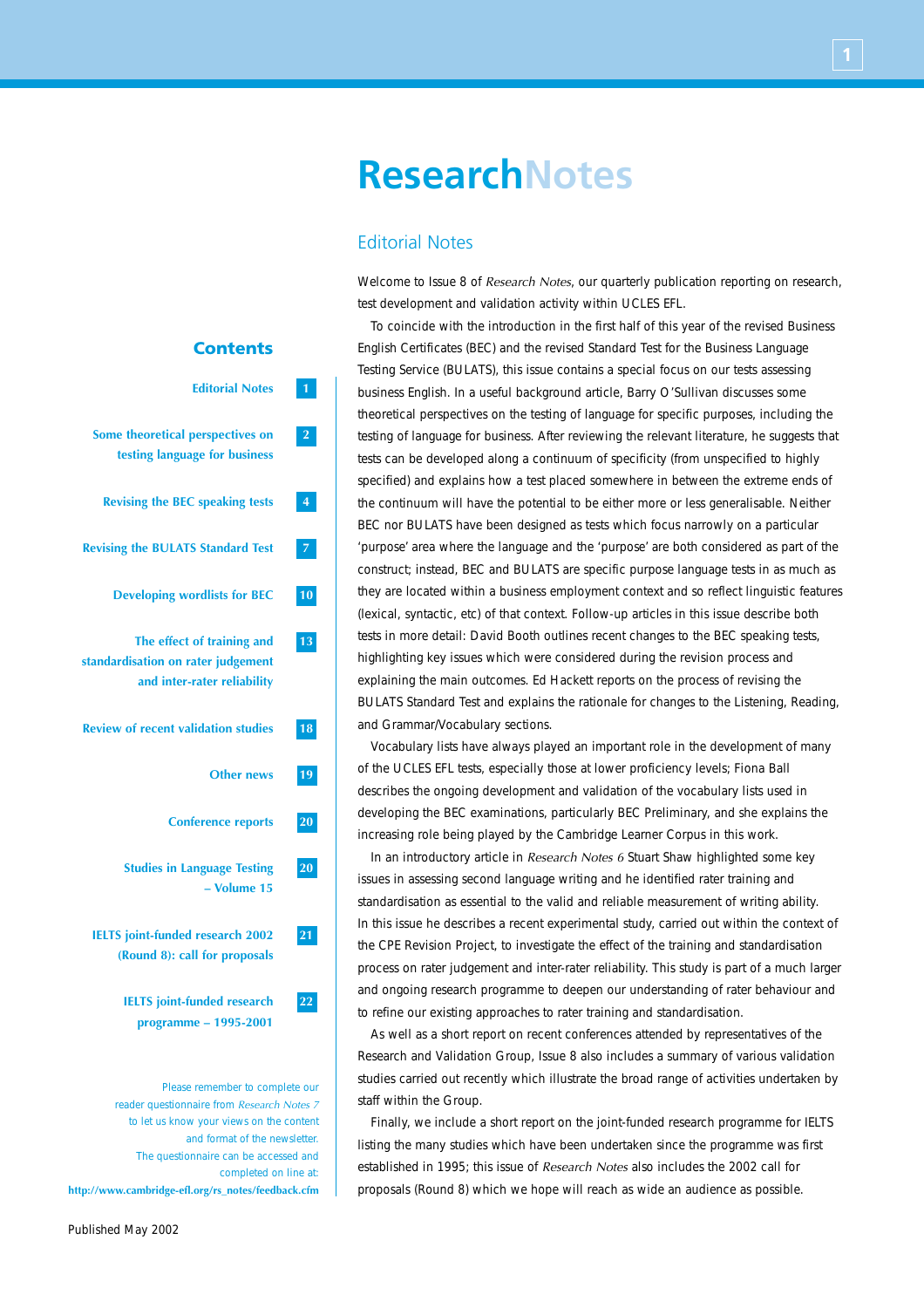# **Editorial Notes 1 Some theoretical perspectives on 2 testing language for business Revising the BEC speaking tests 4 Revising the BULATS Standard Test 7 Developing wordlists for BEC 10 The effect of training and 13 standardisation on rater judgement and inter-rater reliability Review of recent validation studies 18 Other news 19 Conference reports 20 Studies in Language Testing 20 – Volume 15 IELTS joint-funded research 2002 21 (Round 8): call for proposals IELTS joint-funded research 22 programme – 1995-2001**

**Contents**

Please remember to complete our reader questionnaire from *Research Notes 7* to let us know your views on the content and format of the newsletter. The questionnaire can be accessed and completed on line at: **http://www.cambridge-efl.org/rs\_notes/feedback.cfm**

# **ResearchNotes**

# Editorial Notes

Welcome to Issue 8 of *Research Notes*, our quarterly publication reporting on research, test development and validation activity within UCLES EFL.

To coincide with the introduction in the first half of this year of the revised Business English Certificates (BEC) and the revised Standard Test for the Business Language Testing Service (BULATS), this issue contains a special focus on our tests assessing business English. In a useful background article, Barry O'Sullivan discusses some theoretical perspectives on the testing of language for specific purposes, including the testing of language for business. After reviewing the relevant literature, he suggests that tests can be developed along a continuum of specificity (from unspecified to highly specified) and explains how a test placed somewhere in between the extreme ends of the continuum will have the potential to be either more or less generalisable. Neither BEC nor BULATS have been designed as tests which focus narrowly on a particular 'purpose' area where the language and the 'purpose' are both considered as part of the construct; instead, BEC and BULATS are specific purpose language tests in as much as they are located within a business employment context and so reflect linguistic features (lexical, syntactic, etc) of that context. Follow-up articles in this issue describe both tests in more detail: David Booth outlines recent changes to the BEC speaking tests, highlighting key issues which were considered during the revision process and explaining the main outcomes. Ed Hackett reports on the process of revising the BULATS Standard Test and explains the rationale for changes to the Listening, Reading, and Grammar/Vocabulary sections.

Vocabulary lists have always played an important role in the development of many of the UCLES EFL tests, especially those at lower proficiency levels; Fiona Ball describes the ongoing development and validation of the vocabulary lists used in developing the BEC examinations, particularly BEC Preliminary, and she explains the increasing role being played by the Cambridge Learner Corpus in this work.

In an introductory article in *Research Notes 6* Stuart Shaw highlighted some key issues in assessing second language writing and he identified rater training and standardisation as essential to the valid and reliable measurement of writing ability. In this issue he describes a recent experimental study, carried out within the context of the CPE Revision Project, to investigate the effect of the training and standardisation process on rater judgement and inter-rater reliability. This study is part of a much larger and ongoing research programme to deepen our understanding of rater behaviour and to refine our existing approaches to rater training and standardisation.

As well as a short report on recent conferences attended by representatives of the Research and Validation Group, Issue 8 also includes a summary of various validation studies carried out recently which illustrate the broad range of activities undertaken by staff within the Group.

Finally, we include a short report on the joint-funded research programme for IELTS listing the many studies which have been undertaken since the programme was first established in 1995; this issue of *Research Notes* also includes the 2002 call for proposals (Round 8) which we hope will reach as wide an audience as possible.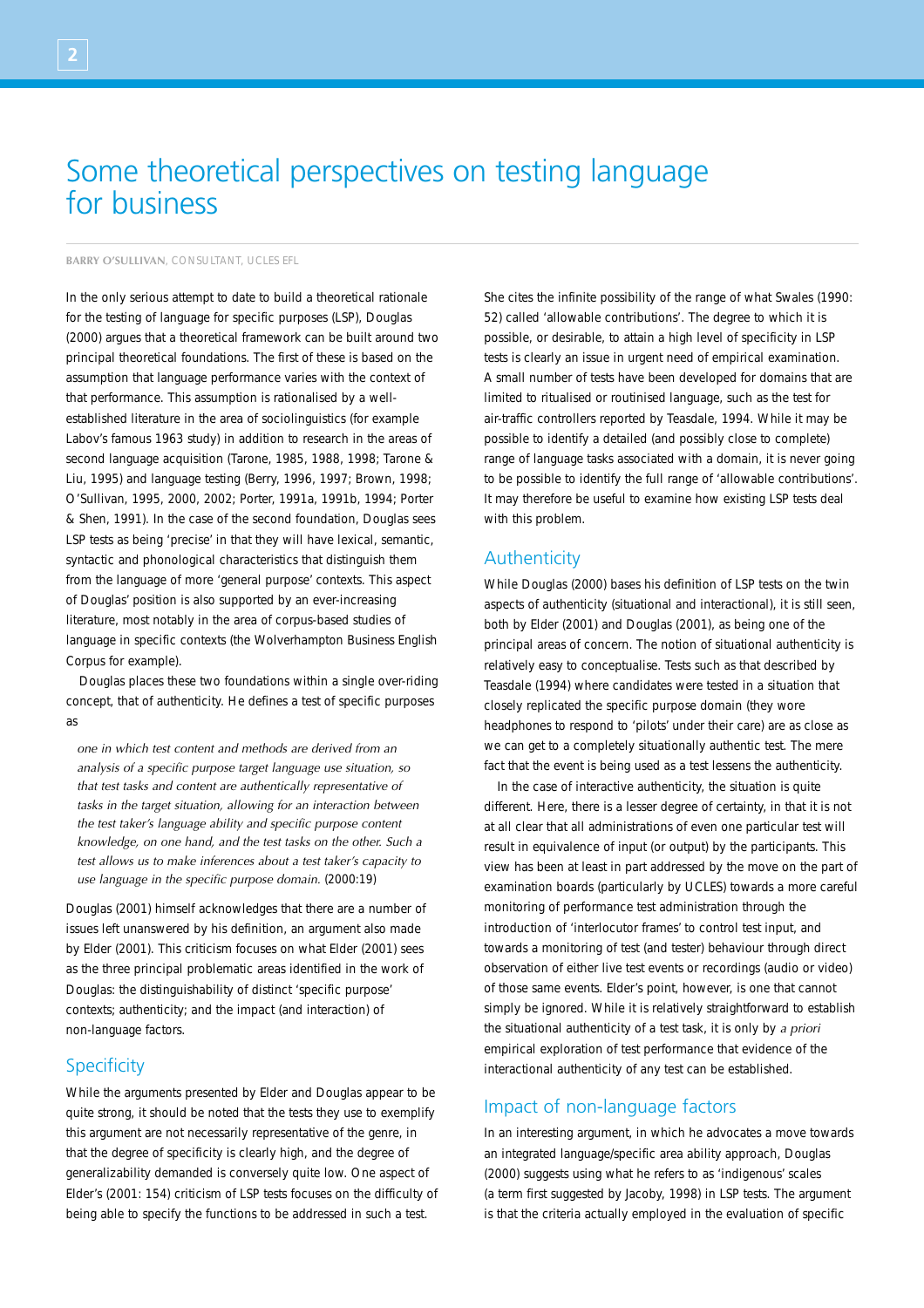# Some theoretical perspectives on testing language for business

**BARRY O'SULLIVAN**, CONSULTANT, UCLES EFL

In the only serious attempt to date to build a theoretical rationale for the testing of language for specific purposes (LSP), Douglas (2000) argues that a theoretical framework can be built around two principal theoretical foundations. The first of these is based on the assumption that language performance varies with the context of that performance. This assumption is rationalised by a wellestablished literature in the area of sociolinguistics (for example Labov's famous 1963 study) in addition to research in the areas of second language acquisition (Tarone, 1985, 1988, 1998; Tarone & Liu, 1995) and language testing (Berry, 1996, 1997; Brown, 1998; O'Sullivan, 1995, 2000, 2002; Porter, 1991a, 1991b, 1994; Porter & Shen, 1991). In the case of the second foundation, Douglas sees LSP tests as being 'precise' in that they will have lexical, semantic, syntactic and phonological characteristics that distinguish them from the language of more 'general purpose' contexts. This aspect of Douglas' position is also supported by an ever-increasing literature, most notably in the area of corpus-based studies of language in specific contexts (the Wolverhampton Business English Corpus for example).

Douglas places these two foundations within a single over-riding concept, that of authenticity. He defines a test of specific purposes as

*one in which test content and methods are derived from an analysis of a specific purpose target language use situation, so that test tasks and content are authentically representative of tasks in the target situation, allowing for an interaction between the test taker's language ability and specific purpose content knowledge, on one hand, and the test tasks on the other. Such a test allows us to make inferences about a test taker's capacity to use language in the specific purpose domain.* (2000:19)

Douglas (2001) himself acknowledges that there are a number of issues left unanswered by his definition, an argument also made by Elder (2001). This criticism focuses on what Elder (2001) sees as the three principal problematic areas identified in the work of Douglas: the distinguishability of distinct 'specific purpose' contexts; authenticity; and the impact (and interaction) of non-language factors.

# **Specificity**

While the arguments presented by Elder and Douglas appear to be quite strong, it should be noted that the tests they use to exemplify this argument are not necessarily representative of the genre, in that the degree of specificity is clearly high, and the degree of generalizability demanded is conversely quite low. One aspect of Elder's (2001: 154) criticism of LSP tests focuses on the difficulty of being able to specify the functions to be addressed in such a test.

She cites the infinite possibility of the range of what Swales (1990: 52) called 'allowable contributions'. The degree to which it is possible, or desirable, to attain a high level of specificity in LSP tests is clearly an issue in urgent need of empirical examination. A small number of tests have been developed for domains that are limited to ritualised or routinised language, such as the test for air-traffic controllers reported by Teasdale, 1994. While it may be possible to identify a detailed (and possibly close to complete) range of language tasks associated with a domain, it is never going to be possible to identify the full range of 'allowable contributions'. It may therefore be useful to examine how existing LSP tests deal with this problem.

## Authenticity

While Douglas (2000) bases his definition of LSP tests on the twin aspects of authenticity (situational and interactional), it is still seen, both by Elder (2001) and Douglas (2001), as being one of the principal areas of concern. The notion of situational authenticity is relatively easy to conceptualise. Tests such as that described by Teasdale (1994) where candidates were tested in a situation that closely replicated the specific purpose domain (they wore headphones to respond to 'pilots' under their care) are as close as we can get to a completely situationally authentic test. The mere fact that the event is being used as a test lessens the authenticity.

In the case of interactive authenticity, the situation is quite different. Here, there is a lesser degree of certainty, in that it is not at all clear that all administrations of even one particular test will result in equivalence of input (or output) by the participants. This view has been at least in part addressed by the move on the part of examination boards (particularly by UCLES) towards a more careful monitoring of performance test administration through the introduction of 'interlocutor frames' to control test input, and towards a monitoring of test (and tester) behaviour through direct observation of either live test events or recordings (audio or video) of those same events. Elder's point, however, is one that cannot simply be ignored. While it is relatively straightforward to establish the situational authenticity of a test task, it is only by *a priori* empirical exploration of test performance that evidence of the interactional authenticity of any test can be established.

# Impact of non-language factors

In an interesting argument, in which he advocates a move towards an integrated language/specific area ability approach, Douglas (2000) suggests using what he refers to as 'indigenous' scales (a term first suggested by Jacoby, 1998) in LSP tests. The argument is that the criteria actually employed in the evaluation of specific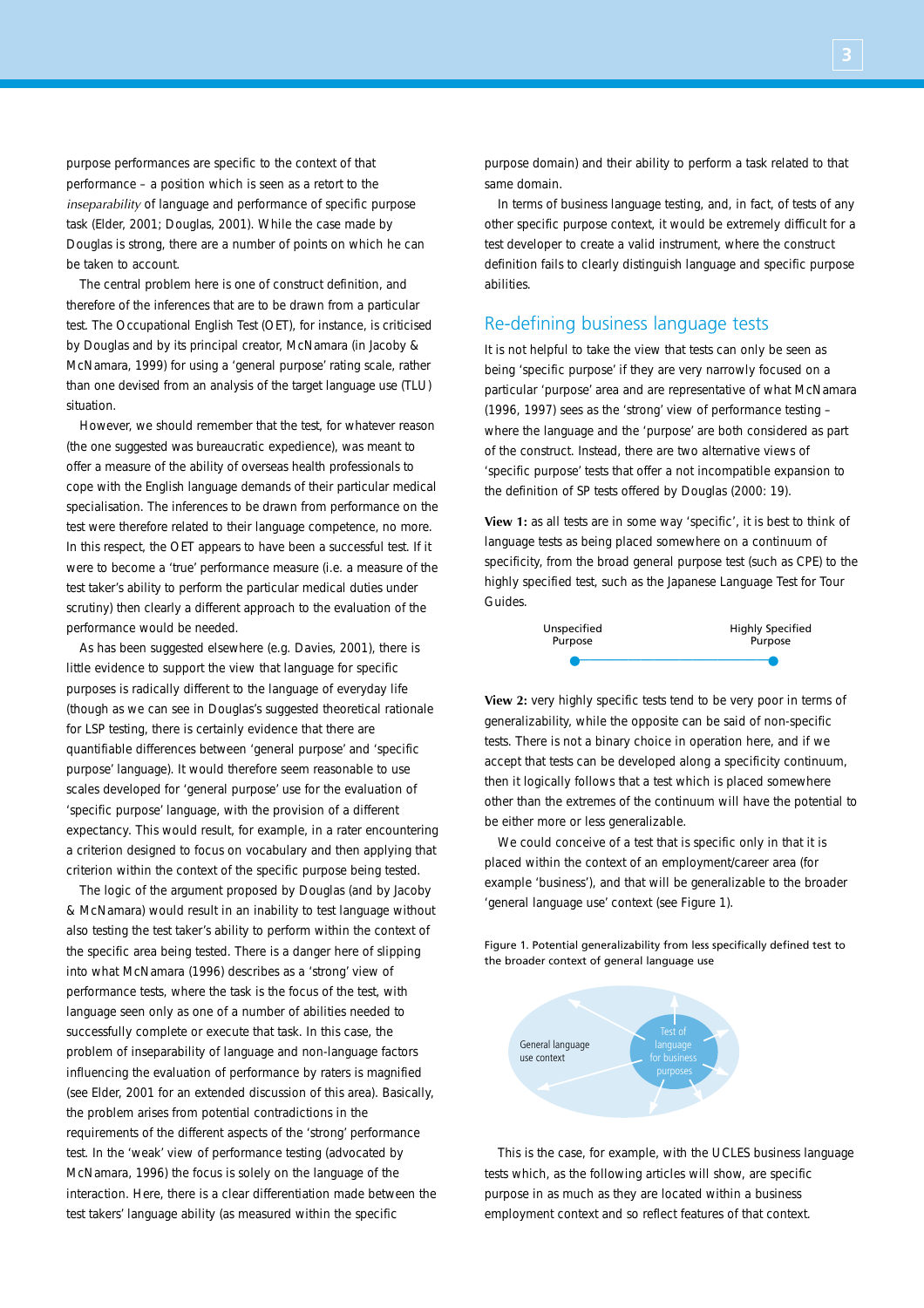purpose performances are specific to the context of that performance – a position which is seen as a retort to the *inseparability* of language and performance of specific purpose task (Elder, 2001; Douglas, 2001). While the case made by Douglas is strong, there are a number of points on which he can be taken to account.

The central problem here is one of construct definition, and therefore of the inferences that are to be drawn from a particular test. The Occupational English Test (OET), for instance, is criticised by Douglas and by its principal creator, McNamara (in Jacoby & McNamara, 1999) for using a 'general purpose' rating scale, rather than one devised from an analysis of the target language use (TLU) situation.

However, we should remember that the test, for whatever reason (the one suggested was bureaucratic expedience), was meant to offer a measure of the ability of overseas health professionals to cope with the English language demands of their particular medical specialisation. The inferences to be drawn from performance on the test were therefore related to their language competence, no more. In this respect, the OET appears to have been a successful test. If it were to become a 'true' performance measure (i.e. a measure of the test taker's ability to perform the particular medical duties under scrutiny) then clearly a different approach to the evaluation of the performance would be needed.

As has been suggested elsewhere (e.g. Davies, 2001), there is little evidence to support the view that language for specific purposes is radically different to the language of everyday life (though as we can see in Douglas's suggested theoretical rationale for LSP testing, there is certainly evidence that there are quantifiable differences between 'general purpose' and 'specific purpose' language). It would therefore seem reasonable to use scales developed for 'general purpose' use for the evaluation of 'specific purpose' language, with the provision of a different expectancy. This would result, for example, in a rater encountering a criterion designed to focus on vocabulary and then applying that criterion within the context of the specific purpose being tested.

The logic of the argument proposed by Douglas (and by Jacoby & McNamara) would result in an inability to test language without also testing the test taker's ability to perform within the context of the specific area being tested. There is a danger here of slipping into what McNamara (1996) describes as a 'strong' view of performance tests, where the task is the focus of the test, with language seen only as one of a number of abilities needed to successfully complete or execute that task. In this case, the problem of inseparability of language and non-language factors influencing the evaluation of performance by raters is magnified (see Elder, 2001 for an extended discussion of this area). Basically, the problem arises from potential contradictions in the requirements of the different aspects of the 'strong' performance test. In the 'weak' view of performance testing (advocated by McNamara, 1996) the focus is solely on the language of the interaction. Here, there is a clear differentiation made between the test takers' language ability (as measured within the specific

purpose domain) and their ability to perform a task related to that same domain.

In terms of business language testing, and, in fact, of tests of any other specific purpose context, it would be extremely difficult for a test developer to create a valid instrument, where the construct definition fails to clearly distinguish language and specific purpose abilities.

## Re-defining business language tests

It is not helpful to take the view that tests can only be seen as being 'specific purpose' if they are very narrowly focused on a particular 'purpose' area and are representative of what McNamara (1996, 1997) sees as the 'strong' view of performance testing – where the language and the 'purpose' are both considered as part of the construct. Instead, there are two alternative views of 'specific purpose' tests that offer a not incompatible expansion to the definition of SP tests offered by Douglas (2000: 19).

**View 1:** as all tests are in some way 'specific', it is best to think of language tests as being placed somewhere on a continuum of specificity, from the broad general purpose test (such as CPE) to the highly specified test, such as the Japanese Language Test for Tour Guides.



**View 2:** very highly specific tests tend to be very poor in terms of generalizability, while the opposite can be said of non-specific tests. There is not a binary choice in operation here, and if we accept that tests can be developed along a specificity continuum, then it logically follows that a test which is placed somewhere other than the extremes of the continuum will have the potential to be either more or less generalizable.

We could conceive of a test that is specific only in that it is placed within the context of an employment/career area (for example 'business'), and that will be generalizable to the broader 'general language use' context (see Figure 1).

Figure 1. Potential generalizability from less specifically defined test to the broader context of general language use



This is the case, for example, with the UCLES business language tests which, as the following articles will show, are specific purpose in as much as they are located within a business employment context and so reflect features of that context.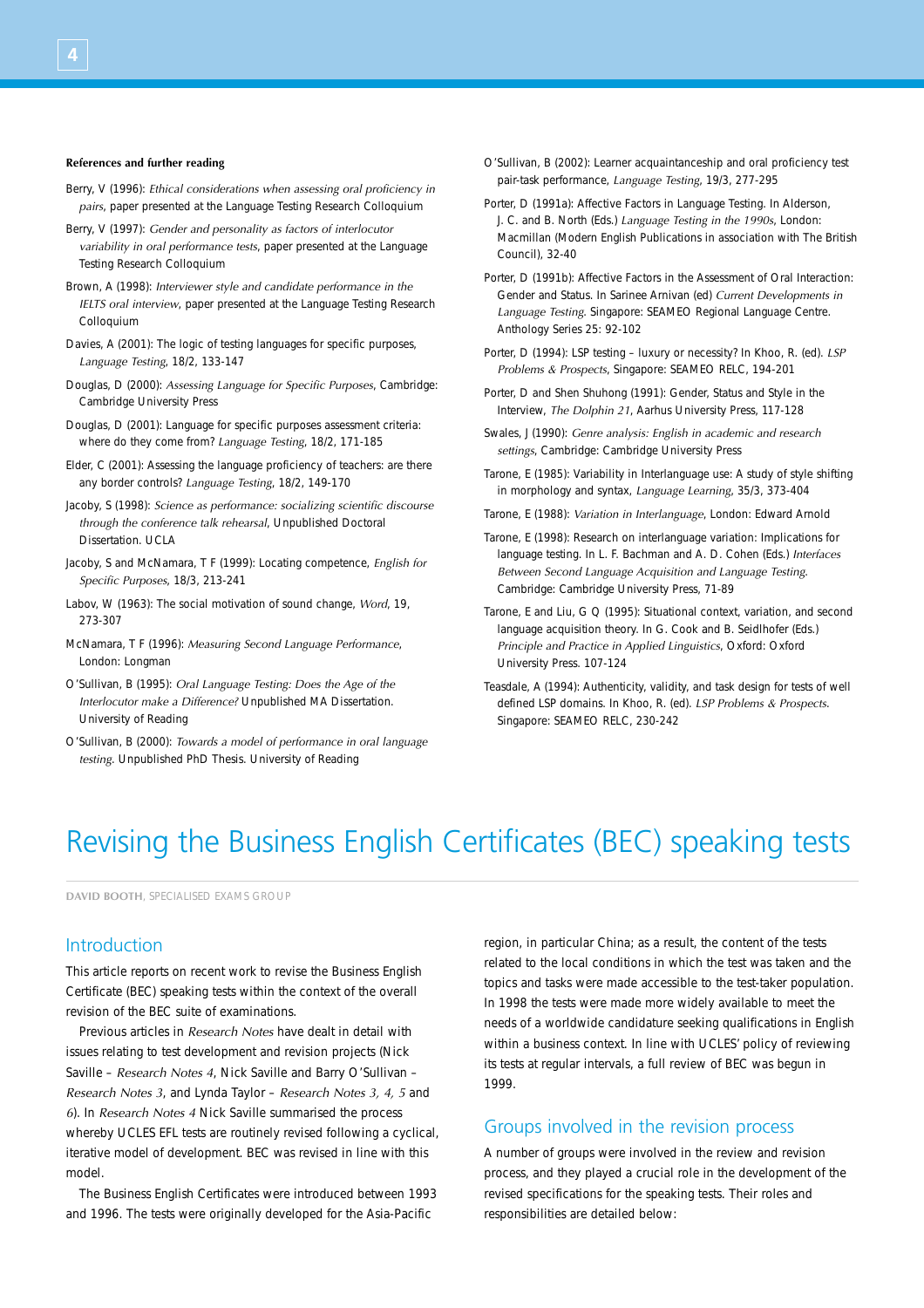#### **References and further reading**

- Berry, V (1996): *Ethical considerations when assessing oral proficiency in pairs*, paper presented at the Language Testing Research Colloquium
- Berry, V (1997): *Gender and personality as factors of interlocutor variability in oral performance tests*, paper presented at the Language Testing Research Colloquium
- Brown, A (1998): *Interviewer style and candidate performance in the IELTS oral interview*, paper presented at the Language Testing Research Colloquium
- Davies, A (2001): The logic of testing languages for specific purposes, *Language Testing*, 18/2, 133-147
- Douglas, D (2000): *Assessing Language for Specific Purposes*, Cambridge: Cambridge University Press
- Douglas, D (2001): Language for specific purposes assessment criteria: where do they come from? *Language Testing*, 18/2, 171-185
- Elder, C (2001): Assessing the language proficiency of teachers: are there any border controls? *Language Testing*, 18/2, 149-170
- Jacoby, S (1998): *Science as performance: socializing scientific discourse through the conference talk rehearsal*, Unpublished Doctoral Dissertation. UCLA
- Jacoby, S and McNamara, T F (1999): Locating competence, *English for Specific Purposes*, 18/3, 213-241
- Labov, W (1963): The social motivation of sound change, *Word*, 19, 273-307
- McNamara, T F (1996): *Measuring Second Language Performance*, London: Longman
- O'Sullivan, B (1995): *Oral Language Testing: Does the Age of the Interlocutor make a Difference?* Unpublished MA Dissertation. University of Reading
- O'Sullivan, B (2000): *Towards a model of performance in oral language testing*. Unpublished PhD Thesis. University of Reading
- O'Sullivan, B (2002): Learner acquaintanceship and oral proficiency test pair-task performance, *Language Testing*, 19/3, 277-295
- Porter, D (1991a): Affective Factors in Language Testing. In Alderson, J. C. and B. North (Eds.) *Language Testing in the 1990s*, London: Macmillan (Modern English Publications in association with The British Council), 32-40
- Porter, D (1991b): Affective Factors in the Assessment of Oral Interaction: Gender and Status. In Sarinee Arnivan (ed) *Current Developments in Language Testing*. Singapore: SEAMEO Regional Language Centre. Anthology Series 25: 92-102
- Porter, D (1994): LSP testing luxury or necessity? In Khoo, R. (ed). *LSP Problems & Prospects*, Singapore: SEAMEO RELC, 194-201
- Porter, D and Shen Shuhong (1991): Gender, Status and Style in the Interview, *The Dolphin 21*, Aarhus University Press, 117-128
- Swales, J (1990): *Genre analysis: English in academic and research settings*, Cambridge: Cambridge University Press
- Tarone, E (1985): Variability in Interlanguage use: A study of style shifting in morphology and syntax, *Language Learning*, 35/3, 373-404
- Tarone, E (1988): *Variation in Interlanguage*, London: Edward Arnold
- Tarone, E (1998): Research on interlanguage variation: Implications for language testing. In L. F. Bachman and A. D. Cohen (Eds.) *Interfaces Between Second Language Acquisition and Language Testing*. Cambridge: Cambridge University Press, 71-89
- Tarone, E and Liu, G Q (1995): Situational context, variation, and second language acquisition theory. In G. Cook and B. Seidlhofer (Eds.) *Principle and Practice in Applied Linguistics*, Oxford: Oxford University Press. 107-124
- Teasdale, A (1994): Authenticity, validity, and task design for tests of well defined LSP domains. In Khoo, R. (ed). *LSP Problems & Prospects*. Singapore: SEAMEO RELC, 230-242

# Revising the Business English Certificates (BEC) speaking tests

**DAVID BOOTH**, SPECIALISED EXAMS GROUP

## Introduction

This article reports on recent work to revise the Business English Certificate (BEC) speaking tests within the context of the overall revision of the BEC suite of examinations.

Previous articles in *Research Notes* have dealt in detail with issues relating to test development and revision projects (Nick Saville – *Research Notes 4*, Nick Saville and Barry O'Sullivan – *Research Notes 3*, and Lynda Taylor – *Research Notes 3, 4, 5* and *6*). In *Research Notes 4* Nick Saville summarised the process whereby UCLES EFL tests are routinely revised following a cyclical, iterative model of development. BEC was revised in line with this model.

The Business English Certificates were introduced between 1993 and 1996. The tests were originally developed for the Asia-Pacific

region, in particular China; as a result, the content of the tests related to the local conditions in which the test was taken and the topics and tasks were made accessible to the test-taker population. In 1998 the tests were made more widely available to meet the needs of a worldwide candidature seeking qualifications in English within a business context. In line with UCLES' policy of reviewing its tests at regular intervals, a full review of BEC was begun in 1999.

## Groups involved in the revision process

A number of groups were involved in the review and revision process, and they played a crucial role in the development of the revised specifications for the speaking tests. Their roles and responsibilities are detailed below: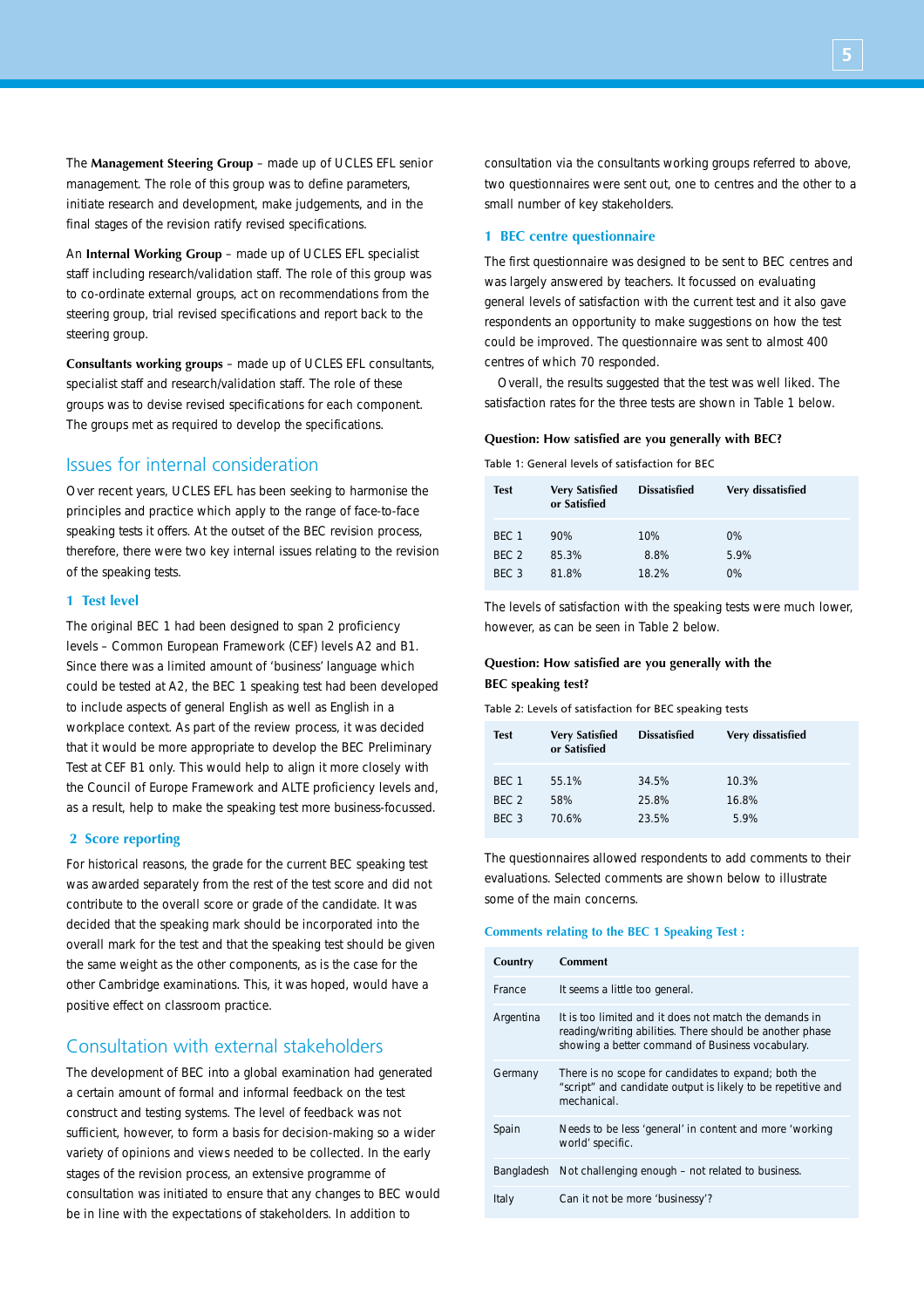The **Management Steering Group** – made up of UCLES EFL senior management. The role of this group was to define parameters, initiate research and development, make judgements, and in the final stages of the revision ratify revised specifications.

An **Internal Working Group** – made up of UCLES EFL specialist staff including research/validation staff. The role of this group was to co-ordinate external groups, act on recommendations from the steering group, trial revised specifications and report back to the steering group.

**Consultants working groups** – made up of UCLES EFL consultants, specialist staff and research/validation staff. The role of these groups was to devise revised specifications for each component. The groups met as required to develop the specifications.

# Issues for internal consideration

Over recent years, UCLES EFL has been seeking to harmonise the principles and practice which apply to the range of face-to-face speaking tests it offers. At the outset of the BEC revision process, therefore, there were two key internal issues relating to the revision of the speaking tests.

## **1 Test level**

The original BEC 1 had been designed to span 2 proficiency levels – Common European Framework (CEF) levels A2 and B1. Since there was a limited amount of 'business' language which could be tested at A2, the BEC 1 speaking test had been developed to include aspects of general English as well as English in a workplace context. As part of the review process, it was decided that it would be more appropriate to develop the BEC Preliminary Test at CEF B1 only. This would help to align it more closely with the Council of Europe Framework and ALTE proficiency levels and, as a result, help to make the speaking test more business-focussed.

### **2 Score reporting**

For historical reasons, the grade for the current BEC speaking test was awarded separately from the rest of the test score and did not contribute to the overall score or grade of the candidate. It was decided that the speaking mark should be incorporated into the overall mark for the test and that the speaking test should be given the same weight as the other components, as is the case for the other Cambridge examinations. This, it was hoped, would have a positive effect on classroom practice.

## Consultation with external stakeholders

The development of BEC into a global examination had generated a certain amount of formal and informal feedback on the test construct and testing systems. The level of feedback was not sufficient, however, to form a basis for decision-making so a wider variety of opinions and views needed to be collected. In the early stages of the revision process, an extensive programme of consultation was initiated to ensure that any changes to BEC would be in line with the expectations of stakeholders. In addition to

consultation via the consultants working groups referred to above, two questionnaires were sent out, one to centres and the other to a small number of key stakeholders.

### **1 BEC centre questionnaire**

The first questionnaire was designed to be sent to BEC centres and was largely answered by teachers. It focussed on evaluating general levels of satisfaction with the current test and it also gave respondents an opportunity to make suggestions on how the test could be improved. The questionnaire was sent to almost 400 centres of which 70 responded.

Overall, the results suggested that the test was well liked. The satisfaction rates for the three tests are shown in Table 1 below.

#### **Question: How satisfied are you generally with BEC?**

Table 1: General levels of satisfaction for BEC

| <b>Test</b>      | <b>Very Satisfied</b><br>or Satisfied | <b>Dissatisfied</b> | Very dissatisfied |
|------------------|---------------------------------------|---------------------|-------------------|
| BFC 1            | 90%                                   | 10%                 | $0\%$             |
| BFC 2            | 85.3%                                 | 8.8%                | 5.9%              |
| BFC <sub>3</sub> | 81.8%                                 | 18.2%               | 0%                |

The levels of satisfaction with the speaking tests were much lower, however, as can be seen in Table 2 below.

## **Question: How satisfied are you generally with the BEC speaking test?**

Table 2: Levels of satisfaction for BEC speaking tests

| <b>Test</b>      | <b>Very Satisfied</b><br>or Satisfied | <b>Dissatisfied</b> | Very dissatisfied |
|------------------|---------------------------------------|---------------------|-------------------|
| BFC 1<br>BFC 2   | 55.1%<br>58%                          | 34.5%<br>25.8%      | 10.3%<br>16.8%    |
| BFC <sub>3</sub> | 70.6%                                 | 23.5%               | 5.9%              |

The questionnaires allowed respondents to add comments to their evaluations. Selected comments are shown below to illustrate some of the main concerns.

#### **Comments relating to the BEC 1 Speaking Test :**

| Country    | <b>Comment</b>                                                                                                                                                         |
|------------|------------------------------------------------------------------------------------------------------------------------------------------------------------------------|
| France     | It seems a little too general.                                                                                                                                         |
| Argentina  | It is too limited and it does not match the demands in<br>reading/writing abilities. There should be another phase<br>showing a better command of Business vocabulary. |
| Germany    | There is no scope for candidates to expand; both the<br>"script" and candidate output is likely to be repetitive and<br>mechanical.                                    |
| Spain      | Needs to be less 'general' in content and more 'working<br>world' specific.                                                                                            |
| Bangladesh | Not challenging enough – not related to business.                                                                                                                      |
| Italy      | Can it not be more 'businessy'?                                                                                                                                        |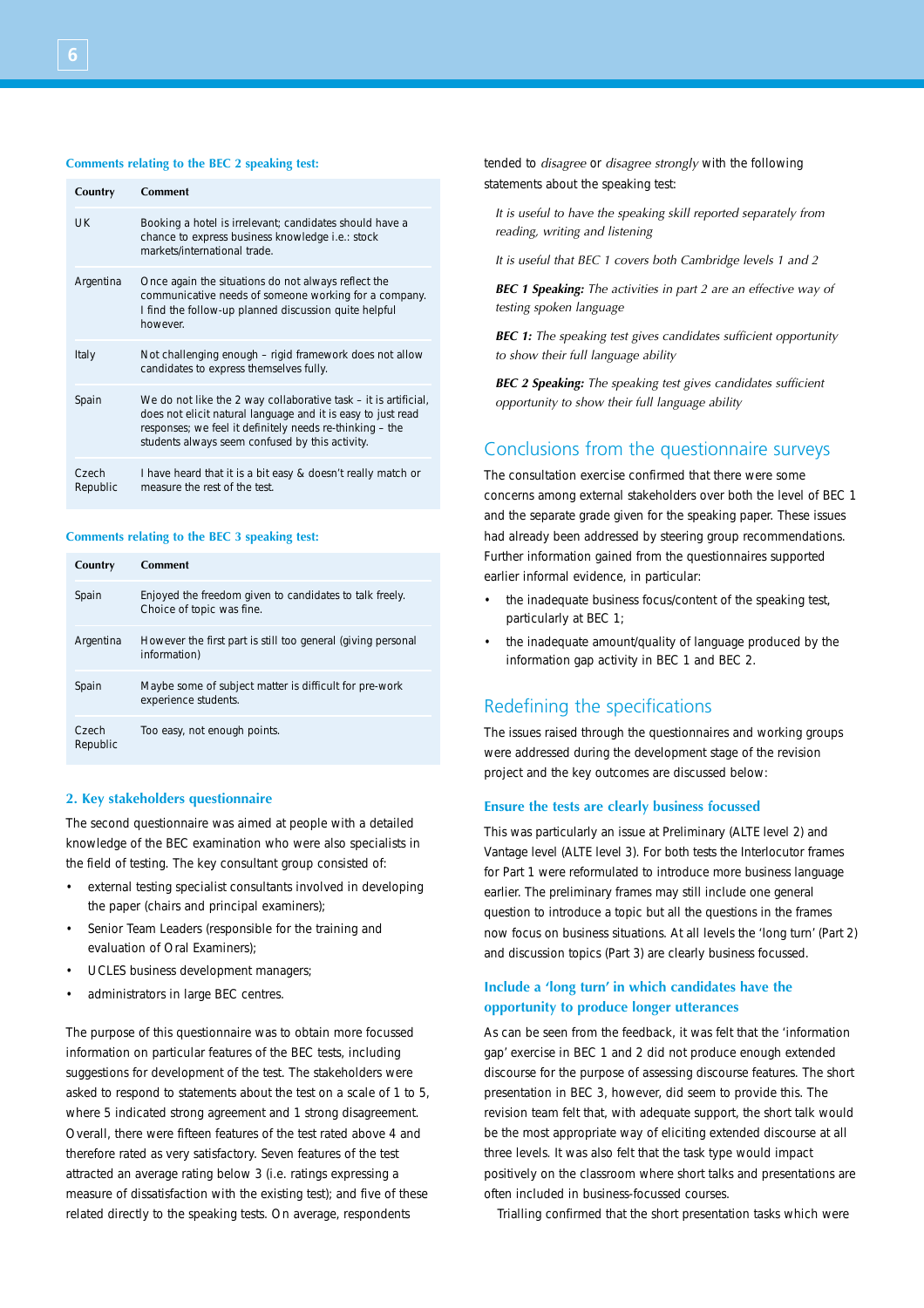#### **Comments relating to the BEC 2 speaking test:**

| Country           | Comment                                                                                                                                                                                                                                        |
|-------------------|------------------------------------------------------------------------------------------------------------------------------------------------------------------------------------------------------------------------------------------------|
| UK                | Booking a hotel is irrelevant; candidates should have a<br>chance to express business knowledge <i>i.e.</i> : stock<br>markets/international trade.                                                                                            |
| Argentina         | Once again the situations do not always reflect the<br>communicative needs of someone working for a company.<br>I find the follow-up planned discussion quite helpful<br>however                                                               |
| Italy             | Not challenging enough - rigid framework does not allow<br>candidates to express themselves fully.                                                                                                                                             |
| Spain             | We do not like the 2 way collaborative task - it is artificial,<br>does not elicit natural language and it is easy to just read<br>responses; we feel it definitely needs re-thinking – the<br>students always seem confused by this activity. |
| Czech<br>Republic | I have heard that it is a bit easy & doesn't really match or<br>measure the rest of the test.                                                                                                                                                  |

#### **Comments relating to the BEC 3 speaking test:**

| Country           | <b>Comment</b>                                                                       |
|-------------------|--------------------------------------------------------------------------------------|
| Spain             | Enjoyed the freedom given to candidates to talk freely.<br>Choice of topic was fine. |
| Argentina         | However the first part is still too general (giving personal<br>information)         |
| Spain             | Maybe some of subject matter is difficult for pre-work<br>experience students.       |
| Czech<br>Republic | Too easy, not enough points.                                                         |

### **2. Key stakeholders questionnaire**

The second questionnaire was aimed at people with a detailed knowledge of the BEC examination who were also specialists in the field of testing. The key consultant group consisted of:

- external testing specialist consultants involved in developing the paper (chairs and principal examiners);
- Senior Team Leaders (responsible for the training and evaluation of Oral Examiners);
- UCLES business development managers;
- administrators in large BEC centres.

The purpose of this questionnaire was to obtain more focussed information on particular features of the BEC tests, including suggestions for development of the test. The stakeholders were asked to respond to statements about the test on a scale of 1 to 5, where 5 indicated strong agreement and 1 strong disagreement. Overall, there were fifteen features of the test rated above 4 and therefore rated as very satisfactory. Seven features of the test attracted an average rating below 3 (i.e. ratings expressing a measure of dissatisfaction with the existing test); and five of these related directly to the speaking tests. On average, respondents

tended to *disagree* or *disagree strongly* with the following statements about the speaking test:

*It is useful to have the speaking skill reported separately from reading, writing and listening*

*It is useful that BEC 1 covers both Cambridge levels 1 and 2*

*BEC 1 Speaking: The activities in part 2 are an effective way of testing spoken language*

*BEC 1: The speaking test gives candidates sufficient opportunity to show their full language ability*

*BEC 2 Speaking: The speaking test gives candidates sufficient opportunity to show their full language ability* 

## Conclusions from the questionnaire surveys

The consultation exercise confirmed that there were some concerns among external stakeholders over both the level of BEC 1 and the separate grade given for the speaking paper. These issues had already been addressed by steering group recommendations. Further information gained from the questionnaires supported earlier informal evidence, in particular:

- the inadequate business focus/content of the speaking test, particularly at BEC 1;
- the inadequate amount/quality of language produced by the information gap activity in BEC 1 and BEC 2.

## Redefining the specifications

The issues raised through the questionnaires and working groups were addressed during the development stage of the revision project and the key outcomes are discussed below:

### **Ensure the tests are clearly business focussed**

This was particularly an issue at Preliminary (ALTE level 2) and Vantage level (ALTE level 3). For both tests the Interlocutor frames for Part 1 were reformulated to introduce more business language earlier. The preliminary frames may still include one general question to introduce a topic but all the questions in the frames now focus on business situations. At all levels the 'long turn' (Part 2) and discussion topics (Part 3) are clearly business focussed.

## **Include a 'long turn' in which candidates have the opportunity to produce longer utterances**

As can be seen from the feedback, it was felt that the 'information gap' exercise in BEC 1 and 2 did not produce enough extended discourse for the purpose of assessing discourse features. The short presentation in BEC 3, however, did seem to provide this. The revision team felt that, with adequate support, the short talk would be the most appropriate way of eliciting extended discourse at all three levels. It was also felt that the task type would impact positively on the classroom where short talks and presentations are often included in business-focussed courses.

Trialling confirmed that the short presentation tasks which were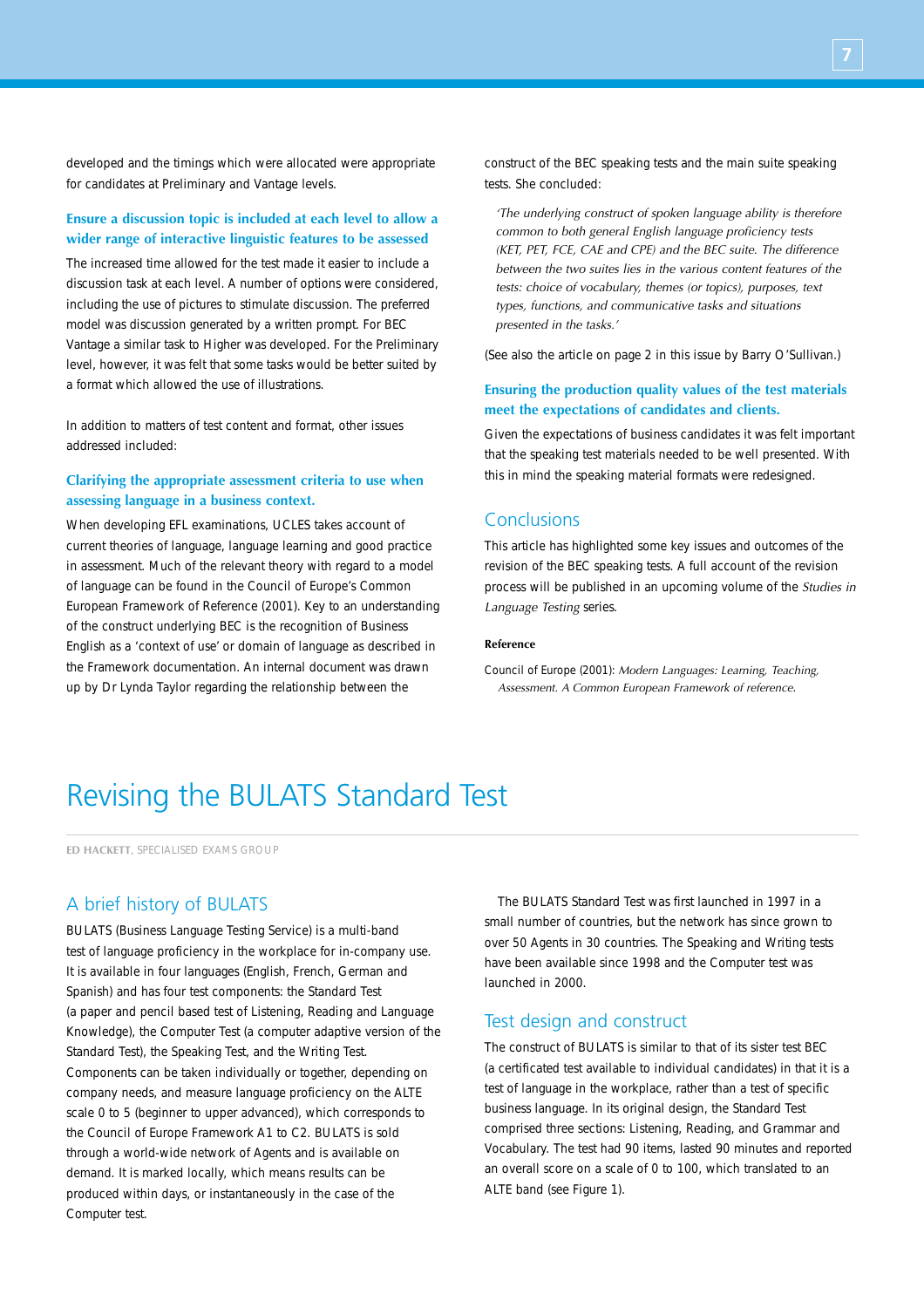developed and the timings which were allocated were appropriate for candidates at Preliminary and Vantage levels.

## **Ensure a discussion topic is included at each level to allow a wider range of interactive linguistic features to be assessed**

The increased time allowed for the test made it easier to include a discussion task at each level. A number of options were considered, including the use of pictures to stimulate discussion. The preferred model was discussion generated by a written prompt. For BEC Vantage a similar task to Higher was developed. For the Preliminary level, however, it was felt that some tasks would be better suited by a format which allowed the use of illustrations.

In addition to matters of test content and format, other issues addressed included:

## **Clarifying the appropriate assessment criteria to use when assessing language in a business context.**

When developing EFL examinations, UCLES takes account of current theories of language, language learning and good practice in assessment. Much of the relevant theory with regard to a model of language can be found in the Council of Europe's Common European Framework of Reference (2001). Key to an understanding of the construct underlying BEC is the recognition of Business English as a 'context of use' or domain of language as described in the Framework documentation. An internal document was drawn up by Dr Lynda Taylor regarding the relationship between the

construct of the BEC speaking tests and the main suite speaking tests. She concluded:

*'The underlying construct of spoken language ability is therefore common to both general English language proficiency tests (KET, PET, FCE, CAE and CPE) and the BEC suite. The difference between the two suites lies in the various content features of the tests: choice of vocabulary, themes (or topics), purposes, text types, functions, and communicative tasks and situations presented in the tasks.'*

(See also the article on page 2 in this issue by Barry O'Sullivan.)

## **Ensuring the production quality values of the test materials meet the expectations of candidates and clients.**

Given the expectations of business candidates it was felt important that the speaking test materials needed to be well presented. With this in mind the speaking material formats were redesigned.

## **Conclusions**

This article has highlighted some key issues and outcomes of the revision of the BEC speaking tests. A full account of the revision process will be published in an upcoming volume of the *Studies in Language Testing* series.

### **Reference**

Council of Europe (2001): *Modern Languages: Learning, Teaching, Assessment. A Common European Framework of reference*.

# Revising the BULATS Standard Test

**ED HACKETT**, SPECIALISED EXAMS GROUP

# A brief history of BULATS

BULATS (Business Language Testing Service) is a multi-band test of language proficiency in the workplace for in-company use. It is available in four languages (English, French, German and Spanish) and has four test components: the Standard Test (a paper and pencil based test of Listening, Reading and Language Knowledge), the Computer Test (a computer adaptive version of the Standard Test), the Speaking Test, and the Writing Test. Components can be taken individually or together, depending on company needs, and measure language proficiency on the ALTE scale 0 to 5 (beginner to upper advanced), which corresponds to the Council of Europe Framework A1 to C2. BULATS is sold through a world-wide network of Agents and is available on demand. It is marked locally, which means results can be produced within days, or instantaneously in the case of the Computer test.

The BULATS Standard Test was first launched in 1997 in a small number of countries, but the network has since grown to over 50 Agents in 30 countries. The Speaking and Writing tests have been available since 1998 and the Computer test was launched in 2000.

## Test design and construct

The construct of BULATS is similar to that of its sister test BEC (a certificated test available to individual candidates) in that it is a test of language in the workplace, rather than a test of specific business language. In its original design, the Standard Test comprised three sections: Listening, Reading, and Grammar and Vocabulary. The test had 90 items, lasted 90 minutes and reported an overall score on a scale of 0 to 100, which translated to an ALTE band (see Figure 1).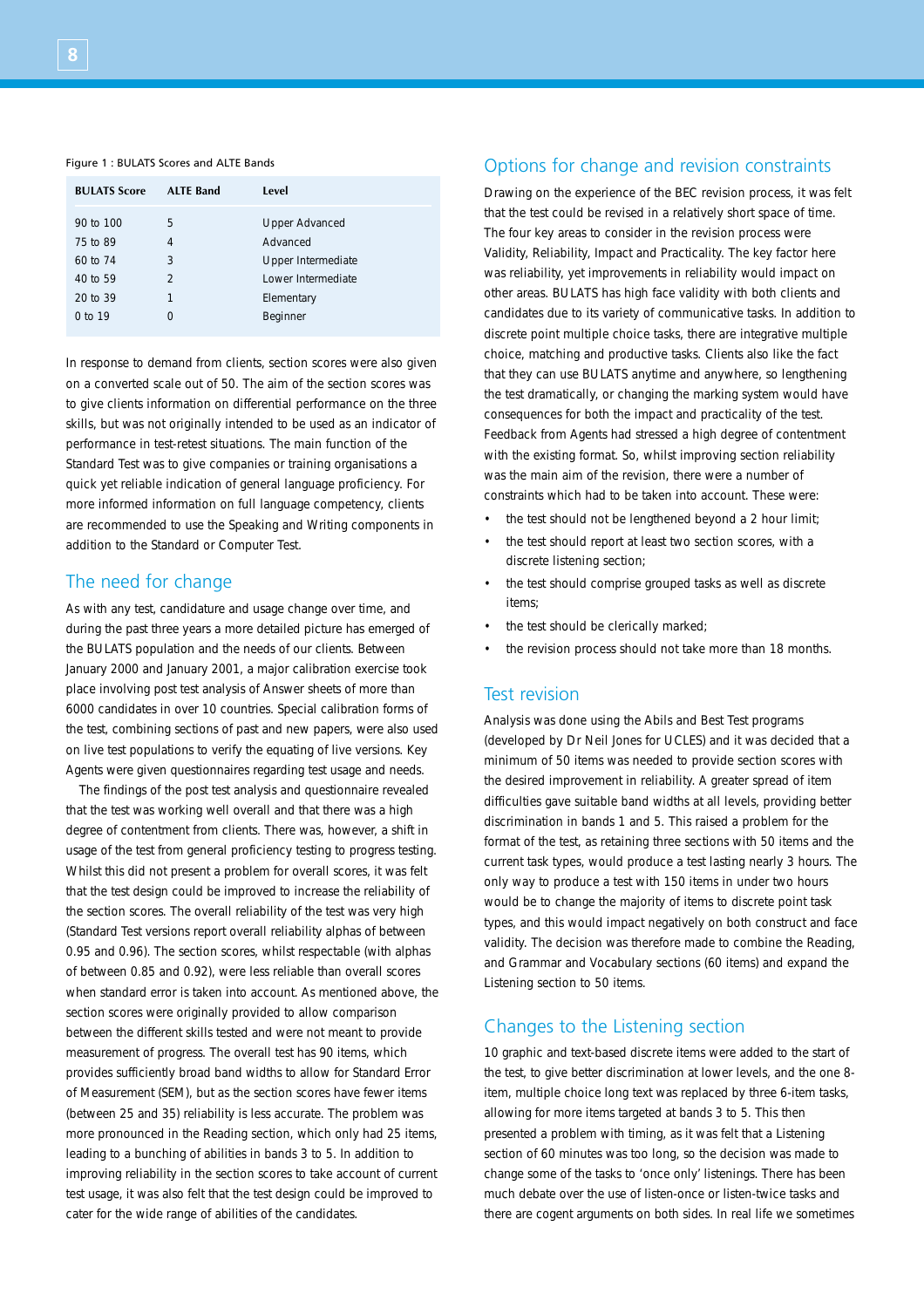#### Figure 1 : BULATS Scores and ALTE Bands

| <b>BULATS Score</b>   | <b>ALTE Band</b>    | Level                                    |
|-----------------------|---------------------|------------------------------------------|
| 90 to 100<br>75 to 89 | 5<br>4              | <b>Upper Advanced</b><br>Advanced        |
| 60 to 74              | 3<br>$\mathfrak{D}$ | Upper Intermediate<br>Lower Intermediate |
| 40 to 59<br>20 to 39  |                     | Elementary                               |
| $0$ to 19             | O                   | Beginner                                 |

In response to demand from clients, section scores were also given on a converted scale out of 50. The aim of the section scores was to give clients information on differential performance on the three skills, but was not originally intended to be used as an indicator of performance in test-retest situations. The main function of the Standard Test was to give companies or training organisations a quick yet reliable indication of general language proficiency. For more informed information on full language competency, clients are recommended to use the Speaking and Writing components in addition to the Standard or Computer Test.

## The need for change

As with any test, candidature and usage change over time, and during the past three years a more detailed picture has emerged of the BULATS population and the needs of our clients. Between January 2000 and January 2001, a major calibration exercise took place involving post test analysis of Answer sheets of more than 6000 candidates in over 10 countries. Special calibration forms of the test, combining sections of past and new papers, were also used on live test populations to verify the equating of live versions. Key Agents were given questionnaires regarding test usage and needs.

The findings of the post test analysis and questionnaire revealed that the test was working well overall and that there was a high degree of contentment from clients. There was, however, a shift in usage of the test from general proficiency testing to progress testing. Whilst this did not present a problem for overall scores, it was felt that the test design could be improved to increase the reliability of the section scores. The overall reliability of the test was very high (Standard Test versions report overall reliability alphas of between 0.95 and 0.96). The section scores, whilst respectable (with alphas of between 0.85 and 0.92), were less reliable than overall scores when standard error is taken into account. As mentioned above, the section scores were originally provided to allow comparison between the different skills tested and were not meant to provide measurement of progress. The overall test has 90 items, which provides sufficiently broad band widths to allow for Standard Error of Measurement (SEM), but as the section scores have fewer items (between 25 and 35) reliability is less accurate. The problem was more pronounced in the Reading section, which only had 25 items, leading to a bunching of abilities in bands 3 to 5. In addition to improving reliability in the section scores to take account of current test usage, it was also felt that the test design could be improved to cater for the wide range of abilities of the candidates.

## Options for change and revision constraints

Drawing on the experience of the BEC revision process, it was felt that the test could be revised in a relatively short space of time. The four key areas to consider in the revision process were Validity, Reliability, Impact and Practicality. The key factor here was reliability, yet improvements in reliability would impact on other areas. BULATS has high face validity with both clients and candidates due to its variety of communicative tasks. In addition to discrete point multiple choice tasks, there are integrative multiple choice, matching and productive tasks. Clients also like the fact that they can use BULATS anytime and anywhere, so lengthening the test dramatically, or changing the marking system would have consequences for both the impact and practicality of the test. Feedback from Agents had stressed a high degree of contentment with the existing format. So, whilst improving section reliability was the main aim of the revision, there were a number of constraints which had to be taken into account. These were:

- the test should not be lengthened beyond a 2 hour limit;
- the test should report at least two section scores, with a discrete listening section;
- the test should comprise grouped tasks as well as discrete items;
- the test should be clerically marked:
- the revision process should not take more than 18 months.

## Test revision

Analysis was done using the Abils and Best Test programs (developed by Dr Neil Jones for UCLES) and it was decided that a minimum of 50 items was needed to provide section scores with the desired improvement in reliability. A greater spread of item difficulties gave suitable band widths at all levels, providing better discrimination in bands 1 and 5. This raised a problem for the format of the test, as retaining three sections with 50 items and the current task types, would produce a test lasting nearly 3 hours. The only way to produce a test with 150 items in under two hours would be to change the majority of items to discrete point task types, and this would impact negatively on both construct and face validity. The decision was therefore made to combine the Reading, and Grammar and Vocabulary sections (60 items) and expand the Listening section to 50 items.

# Changes to the Listening section

10 graphic and text-based discrete items were added to the start of the test, to give better discrimination at lower levels, and the one 8 item, multiple choice long text was replaced by three 6-item tasks, allowing for more items targeted at bands 3 to 5. This then presented a problem with timing, as it was felt that a Listening section of 60 minutes was too long, so the decision was made to change some of the tasks to 'once only' listenings. There has been much debate over the use of listen-once or listen-twice tasks and there are cogent arguments on both sides. In real life we sometimes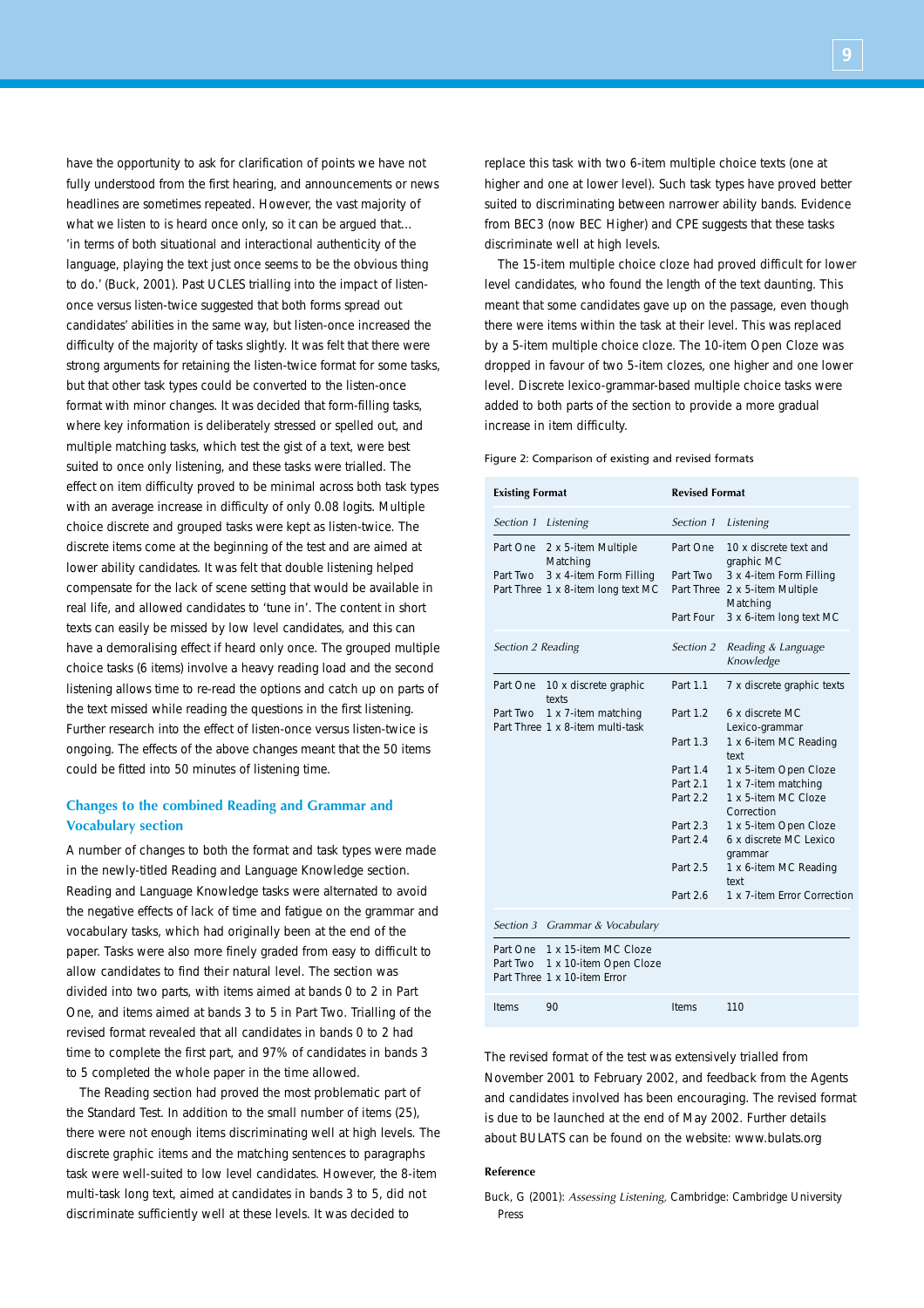have the opportunity to ask for clarification of points we have not fully understood from the first hearing, and announcements or news headlines are sometimes repeated. However, the vast majority of what we listen to is heard once only, so it can be argued that... 'in terms of both situational and interactional authenticity of the language, playing the text just once seems to be the obvious thing to do.' (Buck, 2001). Past UCLES trialling into the impact of listenonce versus listen-twice suggested that both forms spread out candidates' abilities in the same way, but listen-once increased the difficulty of the majority of tasks slightly. It was felt that there were strong arguments for retaining the listen-twice format for some tasks, but that other task types could be converted to the listen-once format with minor changes. It was decided that form-filling tasks, where key information is deliberately stressed or spelled out, and multiple matching tasks, which test the gist of a text, were best suited to once only listening, and these tasks were trialled. The effect on item difficulty proved to be minimal across both task types with an average increase in difficulty of only 0.08 logits. Multiple choice discrete and grouped tasks were kept as listen-twice. The discrete items come at the beginning of the test and are aimed at lower ability candidates. It was felt that double listening helped compensate for the lack of scene setting that would be available in real life, and allowed candidates to 'tune in'. The content in short texts can easily be missed by low level candidates, and this can have a demoralising effect if heard only once. The grouped multiple choice tasks (6 items) involve a heavy reading load and the second listening allows time to re-read the options and catch up on parts of the text missed while reading the questions in the first listening. Further research into the effect of listen-once versus listen-twice is ongoing. The effects of the above changes meant that the 50 items could be fitted into 50 minutes of listening time.

## **Changes to the combined Reading and Grammar and Vocabulary section**

A number of changes to both the format and task types were made in the newly-titled Reading and Language Knowledge section. Reading and Language Knowledge tasks were alternated to avoid the negative effects of lack of time and fatigue on the grammar and vocabulary tasks, which had originally been at the end of the paper. Tasks were also more finely graded from easy to difficult to allow candidates to find their natural level. The section was divided into two parts, with items aimed at bands 0 to 2 in Part One, and items aimed at bands 3 to 5 in Part Two. Trialling of the revised format revealed that all candidates in bands 0 to 2 had time to complete the first part, and 97% of candidates in bands 3 to 5 completed the whole paper in the time allowed.

The Reading section had proved the most problematic part of the Standard Test. In addition to the small number of items (25), there were not enough items discriminating well at high levels. The discrete graphic items and the matching sentences to paragraphs task were well-suited to low level candidates. However, the 8-item multi-task long text, aimed at candidates in bands 3 to 5, did not discriminate sufficiently well at these levels. It was decided to

replace this task with two 6-item multiple choice texts (one at higher and one at lower level). Such task types have proved better suited to discriminating between narrower ability bands. Evidence from BEC3 (now BEC Higher) and CPE suggests that these tasks discriminate well at high levels.

The 15-item multiple choice cloze had proved difficult for lower level candidates, who found the length of the text daunting. This meant that some candidates gave up on the passage, even though there were items within the task at their level. This was replaced by a 5-item multiple choice cloze. The 10-item Open Cloze was dropped in favour of two 5-item clozes, one higher and one lower level. Discrete lexico-grammar-based multiple choice tasks were added to both parts of the section to provide a more gradual increase in item difficulty.

#### Figure 2: Comparison of existing and revised formats

| <b>Existing Format</b> |                                                                                | <b>Revised Format</b> |                                                                       |  |
|------------------------|--------------------------------------------------------------------------------|-----------------------|-----------------------------------------------------------------------|--|
| Section 1              | Listening                                                                      | Section 1             | Listening                                                             |  |
| Part One<br>Part Two   | 2 x 5-item Multiple<br>Matching<br>3 x 4-item Form Filling                     | Part One<br>Part Two  | 10 x discrete text and<br>graphic MC<br>3 x 4-item Form Filling       |  |
|                        | Part Three 1 x 8-item long text MC                                             | Part Four             | Part Three 2 x 5-item Multiple<br>Matching<br>3 x 6-item long text MC |  |
| Section 2 Reading      |                                                                                | Section 2             | Reading & Language<br>Knowledge                                       |  |
| Part One               | 10 x discrete graphic<br>texts                                                 | Part 1.1              | 7 x discrete graphic texts                                            |  |
| Part Two               | 1 x 7-item matching<br>Part Three 1 x 8-item multi-task                        | Part 1.2              | 6 x discrete MC<br>Lexico-grammar                                     |  |
|                        |                                                                                | Part 1.3              | 1 x 6-item MC Reading<br>text                                         |  |
|                        |                                                                                | Part 1.4              | 1 x 5-item Open Cloze                                                 |  |
|                        |                                                                                | Part 2.1              | 1 x 7-item matching                                                   |  |
|                        |                                                                                | Part 2.2              | 1 x 5-item MC Cloze<br>Correction                                     |  |
|                        |                                                                                | Part 2.3              | 1 x 5-item Open Cloze                                                 |  |
|                        |                                                                                | Part 2.4              | 6 x discrete MC Lexico<br>grammar                                     |  |
|                        |                                                                                | Part 2.5              | 1 x 6-item MC Reading<br>text                                         |  |
|                        |                                                                                | Part 26               | 1 x 7-item Frror Correction                                           |  |
|                        | Section 3 Grammar & Vocabulary                                                 |                       |                                                                       |  |
| Part One<br>Part Two   | 1 x 15-item MC Cloze<br>1 x 10-item Open Cloze<br>Part Three 1 x 10-item Frror |                       |                                                                       |  |
| Items                  | 90                                                                             | Items                 | 110                                                                   |  |

The revised format of the test was extensively trialled from November 2001 to February 2002, and feedback from the Agents and candidates involved has been encouraging. The revised format is due to be launched at the end of May 2002. Further details about BULATS can be found on the website: www.bulats.org

#### **Reference**

Buck, G (2001): *Assessing Listening,* Cambridge: Cambridge University Press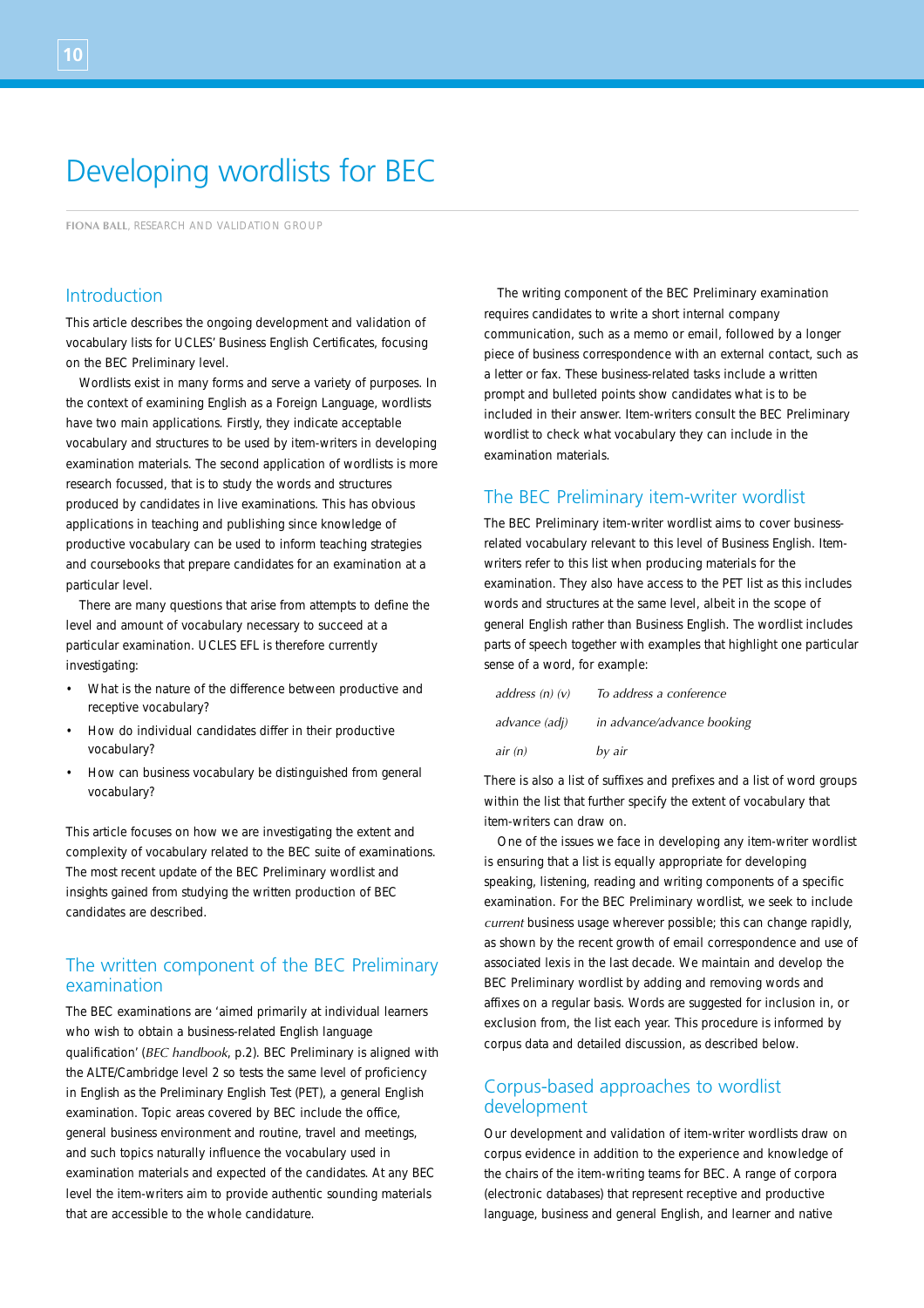# Developing wordlists for BEC

**FIONA BALL**, RESEARCH AND VALIDATION GROUP

## Introduction

This article describes the ongoing development and validation of vocabulary lists for UCLES' Business English Certificates, focusing on the BEC Preliminary level.

Wordlists exist in many forms and serve a variety of purposes. In the context of examining English as a Foreign Language, wordlists have two main applications. Firstly, they indicate acceptable vocabulary and structures to be used by item-writers in developing examination materials. The second application of wordlists is more research focussed, that is to study the words and structures produced by candidates in live examinations. This has obvious applications in teaching and publishing since knowledge of productive vocabulary can be used to inform teaching strategies and coursebooks that prepare candidates for an examination at a particular level.

There are many questions that arise from attempts to define the level and amount of vocabulary necessary to succeed at a particular examination. UCLES EFL is therefore currently investigating:

- What is the nature of the difference between productive and receptive vocabulary?
- How do individual candidates differ in their productive vocabulary?
- How can business vocabulary be distinguished from general vocabulary?

This article focuses on how we are investigating the extent and complexity of vocabulary related to the BEC suite of examinations. The most recent update of the BEC Preliminary wordlist and insights gained from studying the written production of BEC candidates are described.

# The written component of the BEC Preliminary examination

The BEC examinations are 'aimed primarily at individual learners who wish to obtain a business-related English language qualification' (*BEC handbook*, p.2). BEC Preliminary is aligned with the ALTE/Cambridge level 2 so tests the same level of proficiency in English as the Preliminary English Test (PET), a general English examination. Topic areas covered by BEC include the office, general business environment and routine, travel and meetings, and such topics naturally influence the vocabulary used in examination materials and expected of the candidates. At any BEC level the item-writers aim to provide authentic sounding materials that are accessible to the whole candidature.

The writing component of the BEC Preliminary examination requires candidates to write a short internal company communication, such as a memo or email, followed by a longer piece of business correspondence with an external contact, such as a letter or fax. These business-related tasks include a written prompt and bulleted points show candidates what is to be included in their answer. Item-writers consult the BEC Preliminary wordlist to check what vocabulary they can include in the examination materials.

## The BEC Preliminary item-writer wordlist

The BEC Preliminary item-writer wordlist aims to cover businessrelated vocabulary relevant to this level of Business English. Itemwriters refer to this list when producing materials for the examination. They also have access to the PET list as this includes words and structures at the same level, albeit in the scope of general English rather than Business English. The wordlist includes parts of speech together with examples that highlight one particular sense of a word, for example:

| address $(n)$ $(v)$ | To address a conference    |
|---------------------|----------------------------|
| advance (adj)       | in advance/advance booking |
| air(n)              | by air                     |

There is also a list of suffixes and prefixes and a list of word groups within the list that further specify the extent of vocabulary that item-writers can draw on.

One of the issues we face in developing any item-writer wordlist is ensuring that a list is equally appropriate for developing speaking, listening, reading and writing components of a specific examination. For the BEC Preliminary wordlist, we seek to include *current* business usage wherever possible; this can change rapidly, as shown by the recent growth of email correspondence and use of associated lexis in the last decade. We maintain and develop the BEC Preliminary wordlist by adding and removing words and affixes on a regular basis. Words are suggested for inclusion in, or exclusion from, the list each year. This procedure is informed by corpus data and detailed discussion, as described below.

## Corpus-based approaches to wordlist development

Our development and validation of item-writer wordlists draw on corpus evidence in addition to the experience and knowledge of the chairs of the item-writing teams for BEC. A range of corpora (electronic databases) that represent receptive and productive language, business and general English, and learner and native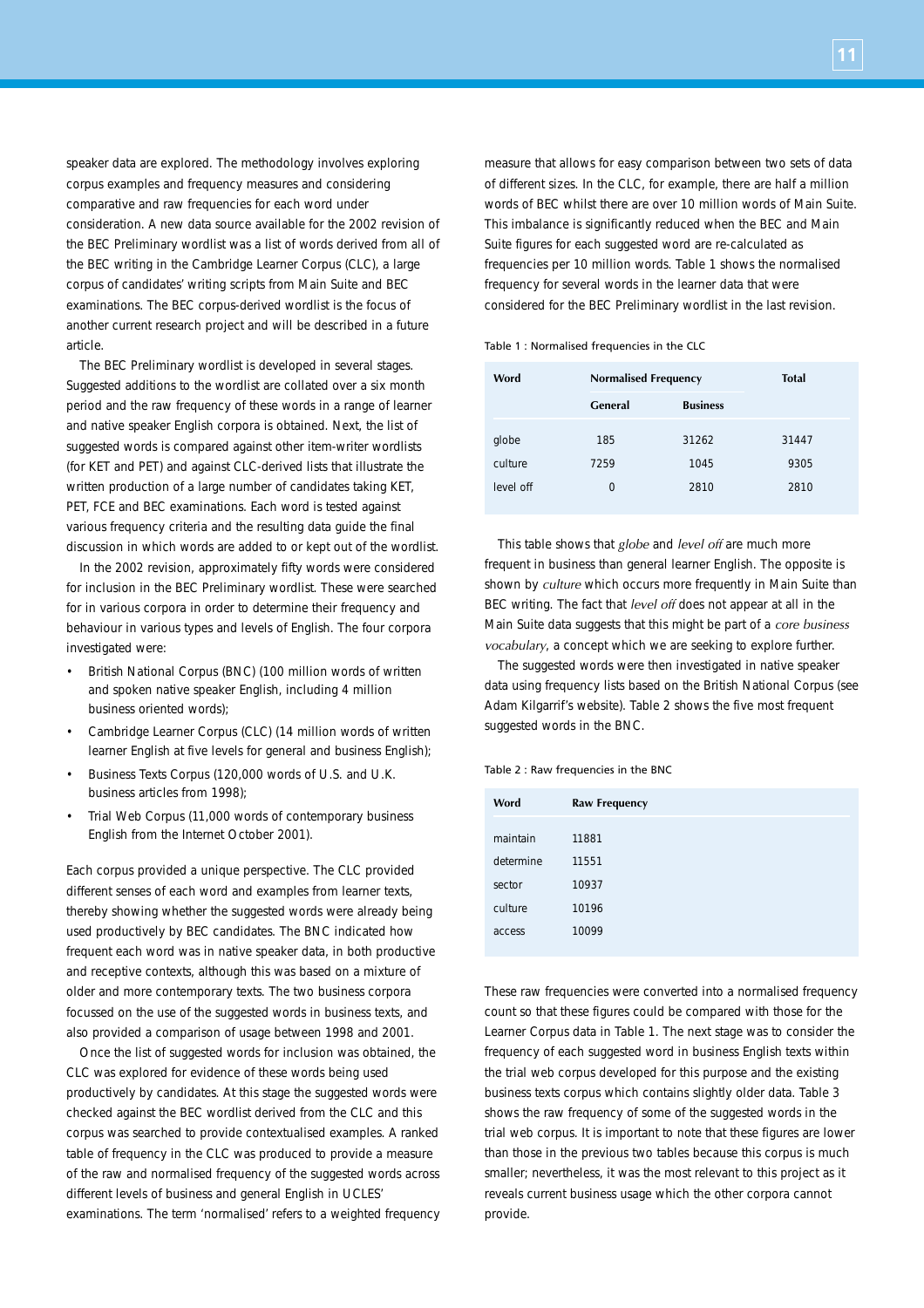speaker data are explored. The methodology involves exploring corpus examples and frequency measures and considering comparative and raw frequencies for each word under consideration. A new data source available for the 2002 revision of the BEC Preliminary wordlist was a list of words derived from all of the BEC writing in the Cambridge Learner Corpus (CLC), a large corpus of candidates' writing scripts from Main Suite and BEC examinations. The BEC corpus-derived wordlist is the focus of another current research project and will be described in a future article.

The BEC Preliminary wordlist is developed in several stages. Suggested additions to the wordlist are collated over a six month period and the raw frequency of these words in a range of learner and native speaker English corpora is obtained. Next, the list of suggested words is compared against other item-writer wordlists (for KET and PET) and against CLC-derived lists that illustrate the written production of a large number of candidates taking KET, PET, FCE and BEC examinations. Each word is tested against various frequency criteria and the resulting data guide the final discussion in which words are added to or kept out of the wordlist.

In the 2002 revision, approximately fifty words were considered for inclusion in the BEC Preliminary wordlist. These were searched for in various corpora in order to determine their frequency and behaviour in various types and levels of English. The four corpora investigated were:

- British National Corpus (BNC) (100 million words of written and spoken native speaker English, including 4 million business oriented words);
- Cambridge Learner Corpus (CLC) (14 million words of written learner English at five levels for general and business English);
- Business Texts Corpus (120,000 words of U.S. and U.K. business articles from 1998);
- Trial Web Corpus (11,000 words of contemporary business English from the Internet October 2001).

Each corpus provided a unique perspective. The CLC provided different senses of each word and examples from learner texts, thereby showing whether the suggested words were already being used productively by BEC candidates. The BNC indicated how frequent each word was in native speaker data, in both productive and receptive contexts, although this was based on a mixture of older and more contemporary texts. The two business corpora focussed on the use of the suggested words in business texts, and also provided a comparison of usage between 1998 and 2001.

Once the list of suggested words for inclusion was obtained, the CLC was explored for evidence of these words being used productively by candidates. At this stage the suggested words were checked against the BEC wordlist derived from the CLC and this corpus was searched to provide contextualised examples. A ranked table of frequency in the CLC was produced to provide a measure of the raw and normalised frequency of the suggested words across different levels of business and general English in UCLES' examinations. The term 'normalised' refers to a weighted frequency measure that allows for easy comparison between two sets of data of different sizes. In the CLC, for example, there are half a million words of BEC whilst there are over 10 million words of Main Suite. This imbalance is significantly reduced when the BEC and Main Suite figures for each suggested word are re-calculated as frequencies per 10 million words. Table 1 shows the normalised frequency for several words in the learner data that were considered for the BEC Preliminary wordlist in the last revision.

#### Table 1 : Normalised frequencies in the CLC

| Word      | <b>Normalised Frequency</b> |                 | <b>Total</b> |  |
|-----------|-----------------------------|-----------------|--------------|--|
|           | General                     | <b>Business</b> |              |  |
| globe     | 185                         | 31262           | 31447        |  |
| culture   | 7259                        | 1045            | 9305         |  |
| level off | 0                           | 2810            | 2810         |  |

This table shows that *globe* and *level off* are much more frequent in business than general learner English. The opposite is shown by *culture* which occurs more frequently in Main Suite than BEC writing. The fact that *level off* does not appear at all in the Main Suite data suggests that this might be part of a *core business vocabulary*, a concept which we are seeking to explore further.

The suggested words were then investigated in native speaker data using frequency lists based on the British National Corpus (see Adam Kilgarrif's website). Table 2 shows the five most frequent suggested words in the BNC.

#### Table 2 : Raw frequencies in the BNC

| Word      | <b>Raw Frequency</b> |
|-----------|----------------------|
| maintain  | 11881                |
| determine | 11551                |
| sector    | 10937                |
| culture   | 10196                |
| access    | 10099                |
|           |                      |

These raw frequencies were converted into a normalised frequency count so that these figures could be compared with those for the Learner Corpus data in Table 1. The next stage was to consider the frequency of each suggested word in business English texts within the trial web corpus developed for this purpose and the existing business texts corpus which contains slightly older data. Table 3 shows the raw frequency of some of the suggested words in the trial web corpus. It is important to note that these figures are lower than those in the previous two tables because this corpus is much smaller; nevertheless, it was the most relevant to this project as it reveals current business usage which the other corpora cannot provide.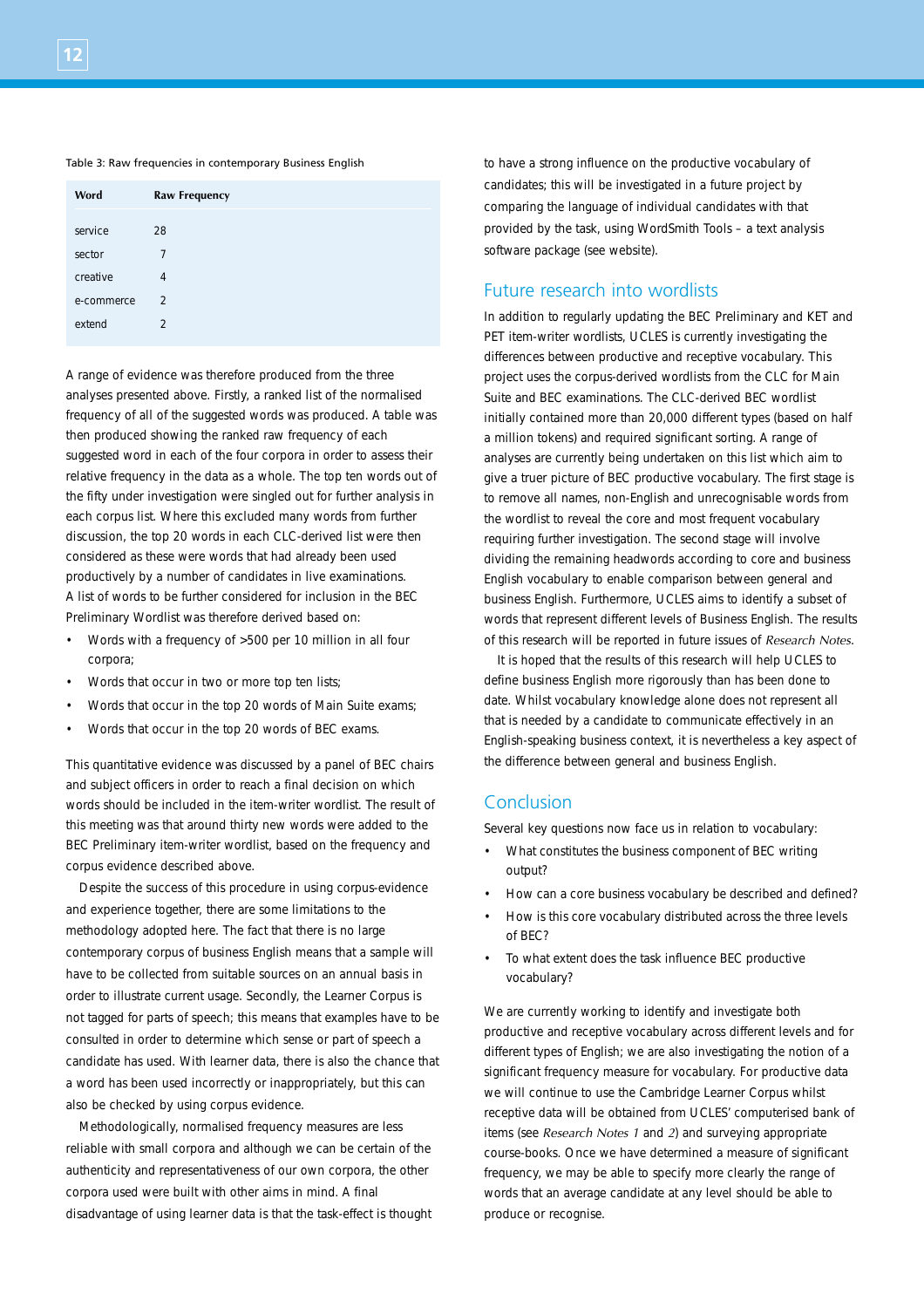#### Table 3: Raw frequencies in contemporary Business English

| Word       | <b>Raw Frequency</b> |
|------------|----------------------|
|            |                      |
| service    | 28                   |
| sector     | 7                    |
| creative   | $\overline{4}$       |
| e-commerce | $\mathcal{P}$        |
| extend     | $\mathfrak{D}$       |

A range of evidence was therefore produced from the three analyses presented above. Firstly, a ranked list of the normalised frequency of all of the suggested words was produced. A table was then produced showing the ranked raw frequency of each suggested word in each of the four corpora in order to assess their relative frequency in the data as a whole. The top ten words out of the fifty under investigation were singled out for further analysis in each corpus list. Where this excluded many words from further discussion, the top 20 words in each CLC-derived list were then considered as these were words that had already been used productively by a number of candidates in live examinations. A list of words to be further considered for inclusion in the BEC Preliminary Wordlist was therefore derived based on:

- Words with a frequency of >500 per 10 million in all four corpora;
- Words that occur in two or more top ten lists;
- Words that occur in the top 20 words of Main Suite exams;
- Words that occur in the top 20 words of BEC exams.

This quantitative evidence was discussed by a panel of BEC chairs and subject officers in order to reach a final decision on which words should be included in the item-writer wordlist. The result of this meeting was that around thirty new words were added to the BEC Preliminary item-writer wordlist, based on the frequency and corpus evidence described above.

Despite the success of this procedure in using corpus-evidence and experience together, there are some limitations to the methodology adopted here. The fact that there is no large contemporary corpus of business English means that a sample will have to be collected from suitable sources on an annual basis in order to illustrate current usage. Secondly, the Learner Corpus is not tagged for parts of speech; this means that examples have to be consulted in order to determine which sense or part of speech a candidate has used. With learner data, there is also the chance that a word has been used incorrectly or inappropriately, but this can also be checked by using corpus evidence.

Methodologically, normalised frequency measures are less reliable with small corpora and although we can be certain of the authenticity and representativeness of our own corpora, the other corpora used were built with other aims in mind. A final disadvantage of using learner data is that the task-effect is thought to have a strong influence on the productive vocabulary of candidates; this will be investigated in a future project by comparing the language of individual candidates with that provided by the task, using WordSmith Tools – a text analysis software package (see website).

## Future research into wordlists

In addition to regularly updating the BEC Preliminary and KET and PET item-writer wordlists, UCLES is currently investigating the differences between productive and receptive vocabulary. This project uses the corpus-derived wordlists from the CLC for Main Suite and BEC examinations. The CLC-derived BEC wordlist initially contained more than 20,000 different types (based on half a million tokens) and required significant sorting. A range of analyses are currently being undertaken on this list which aim to give a truer picture of BEC productive vocabulary. The first stage is to remove all names, non-English and unrecognisable words from the wordlist to reveal the core and most frequent vocabulary requiring further investigation. The second stage will involve dividing the remaining headwords according to core and business English vocabulary to enable comparison between general and business English. Furthermore, UCLES aims to identify a subset of words that represent different levels of Business English. The results of this research will be reported in future issues of *Research Notes*.

It is hoped that the results of this research will help UCLES to define business English more rigorously than has been done to date. Whilst vocabulary knowledge alone does not represent all that is needed by a candidate to communicate effectively in an English-speaking business context, it is nevertheless a key aspect of the difference between general and business English.

## Conclusion

Several key questions now face us in relation to vocabulary:

- What constitutes the business component of BEC writing output?
- How can a core business vocabulary be described and defined?
- How is this core vocabulary distributed across the three levels of BEC?
- To what extent does the task influence BEC productive vocabulary?

We are currently working to identify and investigate both productive and receptive vocabulary across different levels and for different types of English; we are also investigating the notion of a significant frequency measure for vocabulary. For productive data we will continue to use the Cambridge Learner Corpus whilst receptive data will be obtained from UCLES' computerised bank of items (see *Research Notes 1* and *2*) and surveying appropriate course-books. Once we have determined a measure of significant frequency, we may be able to specify more clearly the range of words that an average candidate at any level should be able to produce or recognise.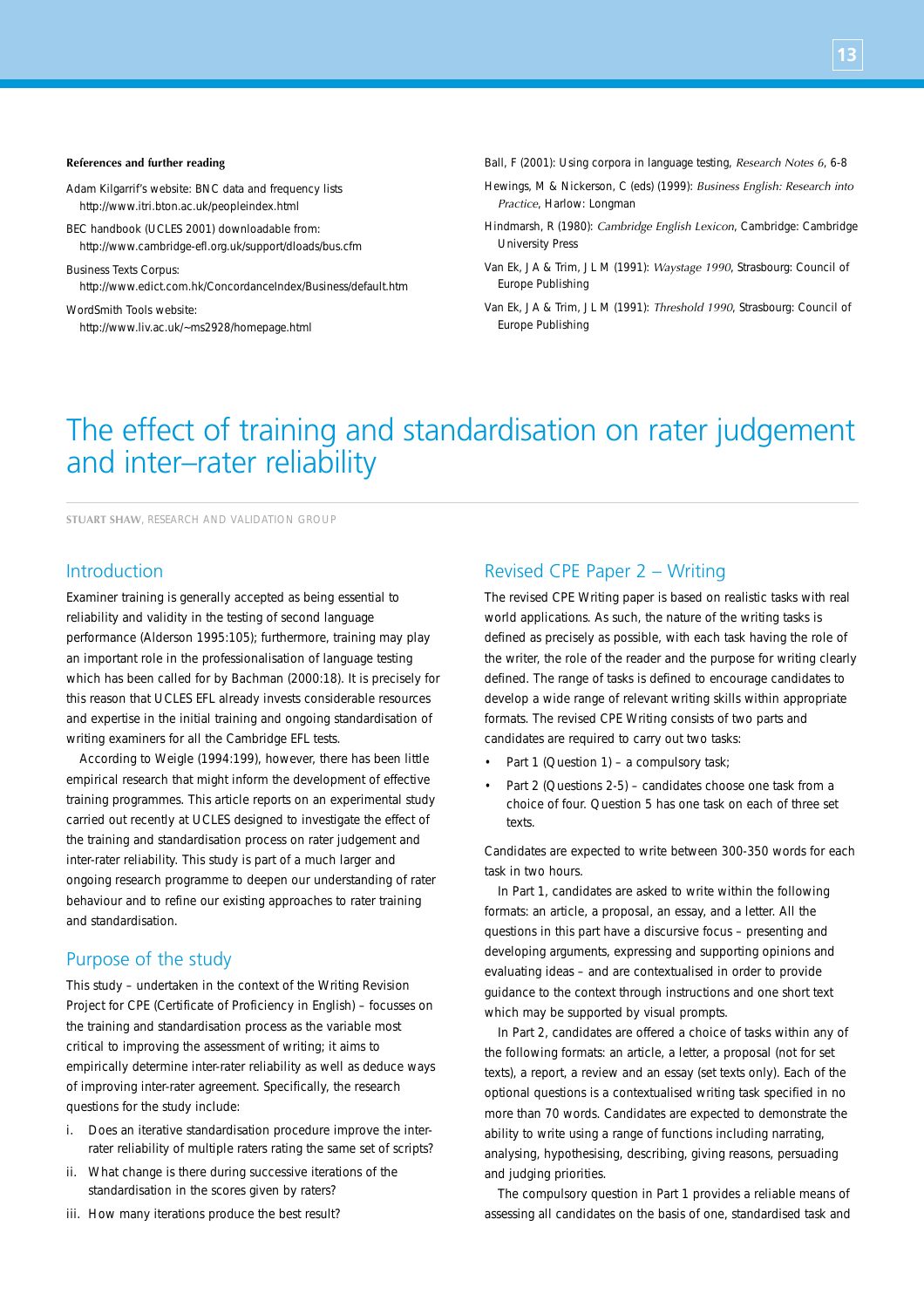#### **References and further reading**

- Adam Kilgarrif's website: BNC data and frequency lists http://www.itri.bton.ac.uk/peopleindex.html
- BEC handbook (UCLES 2001) downloadable from: http://www.cambridge-efl.org.uk/support/dloads/bus.cfm
- Business Texts Corpus: http://www.edict.com.hk/ConcordanceIndex/Business/default.htm
- WordSmith Tools website: http://www.liv.ac.uk/~ms2928/homepage.html

Ball, F (2001): Using corpora in language testing, *Research Notes 6*, 6-8

- Hewings, M & Nickerson, C (eds) (1999): *Business English: Research into Practice*, Harlow: Longman
- Hindmarsh, R (1980): *Cambridge English Lexicon*, Cambridge: Cambridge University Press
- Van Ek, J A & Trim, J L M (1991): *Waystage 1990*, Strasbourg: Council of Europe Publishing
- Van Ek, J A & Trim, J L M (1991): *Threshold 1990*, Strasbourg: Council of Europe Publishing

# The effect of training and standardisation on rater judgement and inter–rater reliability

**STUART SHAW**, RESEARCH AND VALIDATION GROUP

## Introduction

Examiner training is generally accepted as being essential to reliability and validity in the testing of second language performance (Alderson 1995:105); furthermore, training may play an important role in the professionalisation of language testing which has been called for by Bachman (2000:18). It is precisely for this reason that UCLES EFL already invests considerable resources and expertise in the initial training and ongoing standardisation of writing examiners for all the Cambridge EFL tests.

According to Weigle (1994:199), however, there has been little empirical research that might inform the development of effective training programmes. This article reports on an experimental study carried out recently at UCLES designed to investigate the effect of the training and standardisation process on rater judgement and inter-rater reliability. This study is part of a much larger and ongoing research programme to deepen our understanding of rater behaviour and to refine our existing approaches to rater training and standardisation.

## Purpose of the study

This study – undertaken in the context of the Writing Revision Project for CPE (Certificate of Proficiency in English) – focusses on the training and standardisation process as the variable most critical to improving the assessment of writing; it aims to empirically determine inter-rater reliability as well as deduce ways of improving inter-rater agreement. Specifically, the research questions for the study include:

- i. Does an iterative standardisation procedure improve the interrater reliability of multiple raters rating the same set of scripts?
- ii. What change is there during successive iterations of the standardisation in the scores given by raters?
- iii. How many iterations produce the best result?

## Revised CPE Paper 2 – Writing

The revised CPE Writing paper is based on realistic tasks with real world applications. As such, the nature of the writing tasks is defined as precisely as possible, with each task having the role of the writer, the role of the reader and the purpose for writing clearly defined. The range of tasks is defined to encourage candidates to develop a wide range of relevant writing skills within appropriate formats. The revised CPE Writing consists of two parts and candidates are required to carry out two tasks:

- Part 1 (Question 1) a compulsory task;
- Part 2 (Questions 2-5) candidates choose one task from a choice of four. Question 5 has one task on each of three set texts.

Candidates are expected to write between 300-350 words for each task in two hours.

In Part 1, candidates are asked to write within the following formats: an article, a proposal, an essay, and a letter. All the questions in this part have a discursive focus – presenting and developing arguments, expressing and supporting opinions and evaluating ideas – and are contextualised in order to provide guidance to the context through instructions and one short text which may be supported by visual prompts.

In Part 2, candidates are offered a choice of tasks within any of the following formats: an article, a letter, a proposal (not for set texts), a report, a review and an essay (set texts only). Each of the optional questions is a contextualised writing task specified in no more than 70 words. Candidates are expected to demonstrate the ability to write using a range of functions including narrating, analysing, hypothesising, describing, giving reasons, persuading and judging priorities.

The compulsory question in Part 1 provides a reliable means of assessing all candidates on the basis of one, standardised task and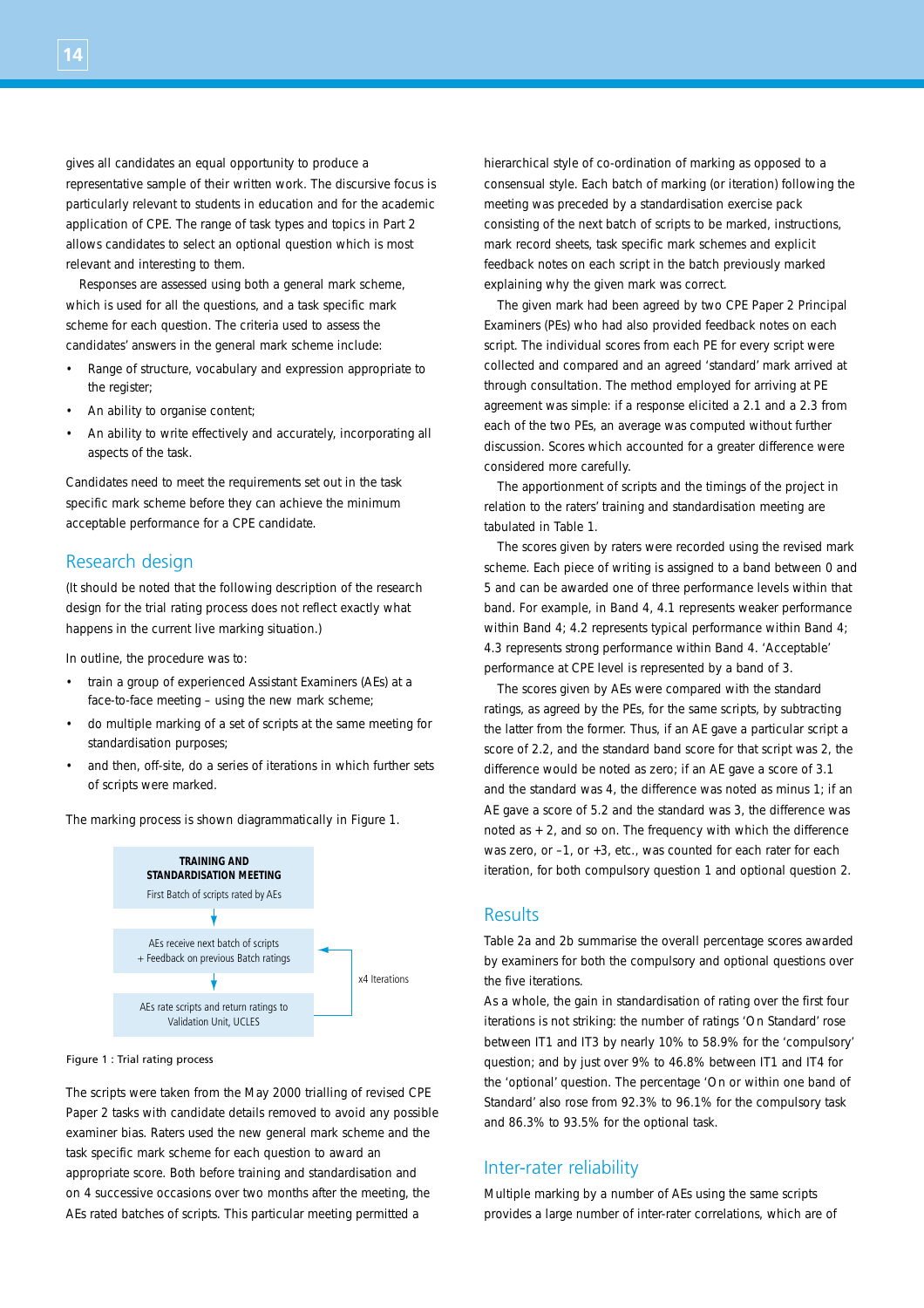gives all candidates an equal opportunity to produce a representative sample of their written work. The discursive focus is particularly relevant to students in education and for the academic application of CPE. The range of task types and topics in Part 2 allows candidates to select an optional question which is most relevant and interesting to them.

Responses are assessed using both a general mark scheme, which is used for all the questions, and a task specific mark scheme for each question. The criteria used to assess the candidates' answers in the general mark scheme include:

- Range of structure, vocabulary and expression appropriate to the register;
- An ability to organise content:
- An ability to write effectively and accurately, incorporating all aspects of the task.

Candidates need to meet the requirements set out in the task specific mark scheme before they can achieve the minimum acceptable performance for a CPE candidate.

## Research design

(It should be noted that the following description of the research design for the trial rating process does not reflect exactly what happens in the current live marking situation.)

In outline, the procedure was to:

- train a group of experienced Assistant Examiners (AEs) at a face-to-face meeting – using the new mark scheme;
- do multiple marking of a set of scripts at the same meeting for standardisation purposes;
- and then, off-site, do a series of iterations in which further sets of scripts were marked.



The marking process is shown diagrammatically in Figure 1.

### Figure 1 : Trial rating process

The scripts were taken from the May 2000 trialling of revised CPE Paper 2 tasks with candidate details removed to avoid any possible examiner bias. Raters used the new general mark scheme and the task specific mark scheme for each question to award an appropriate score. Both before training and standardisation and on 4 successive occasions over two months after the meeting, the AEs rated batches of scripts. This particular meeting permitted a

hierarchical style of co-ordination of marking as opposed to a consensual style. Each batch of marking (or iteration) following the meeting was preceded by a standardisation exercise pack consisting of the next batch of scripts to be marked, instructions, mark record sheets, task specific mark schemes and explicit feedback notes on each script in the batch previously marked explaining why the given mark was correct.

The given mark had been agreed by two CPE Paper 2 Principal Examiners (PEs) who had also provided feedback notes on each script. The individual scores from each PE for every script were collected and compared and an agreed 'standard' mark arrived at through consultation. The method employed for arriving at PE agreement was simple: if a response elicited a 2.1 and a 2.3 from each of the two PEs, an average was computed without further discussion. Scores which accounted for a greater difference were considered more carefully.

The apportionment of scripts and the timings of the project in relation to the raters' training and standardisation meeting are tabulated in Table 1.

The scores given by raters were recorded using the revised mark scheme. Each piece of writing is assigned to a band between 0 and 5 and can be awarded one of three performance levels within that band. For example, in Band 4, 4.1 represents weaker performance within Band 4; 4.2 represents typical performance within Band 4; 4.3 represents strong performance within Band 4. 'Acceptable' performance at CPE level is represented by a band of 3.

The scores given by AEs were compared with the standard ratings, as agreed by the PEs, for the same scripts, by subtracting the latter from the former. Thus, if an AE gave a particular script a score of 2.2, and the standard band score for that script was 2, the difference would be noted as zero; if an AE gave a score of 3.1 and the standard was 4, the difference was noted as minus 1; if an AE gave a score of 5.2 and the standard was 3, the difference was noted as + 2, and so on. The frequency with which the difference was zero, or –1, or +3, etc., was counted for each rater for each iteration, for both compulsory question 1 and optional question 2.

## Results

Table 2a and 2b summarise the overall percentage scores awarded by examiners for both the compulsory and optional questions over the five iterations.

As a whole, the gain in standardisation of rating over the first four iterations is not striking: the number of ratings 'On Standard' rose between IT1 and IT3 by nearly 10% to 58.9% for the 'compulsory' question; and by just over 9% to 46.8% between IT1 and IT4 for the 'optional' question. The percentage 'On or within one band of Standard' also rose from 92.3% to 96.1% for the compulsory task and 86.3% to 93.5% for the optional task.

## Inter-rater reliability

Multiple marking by a number of AEs using the same scripts provides a large number of inter-rater correlations, which are of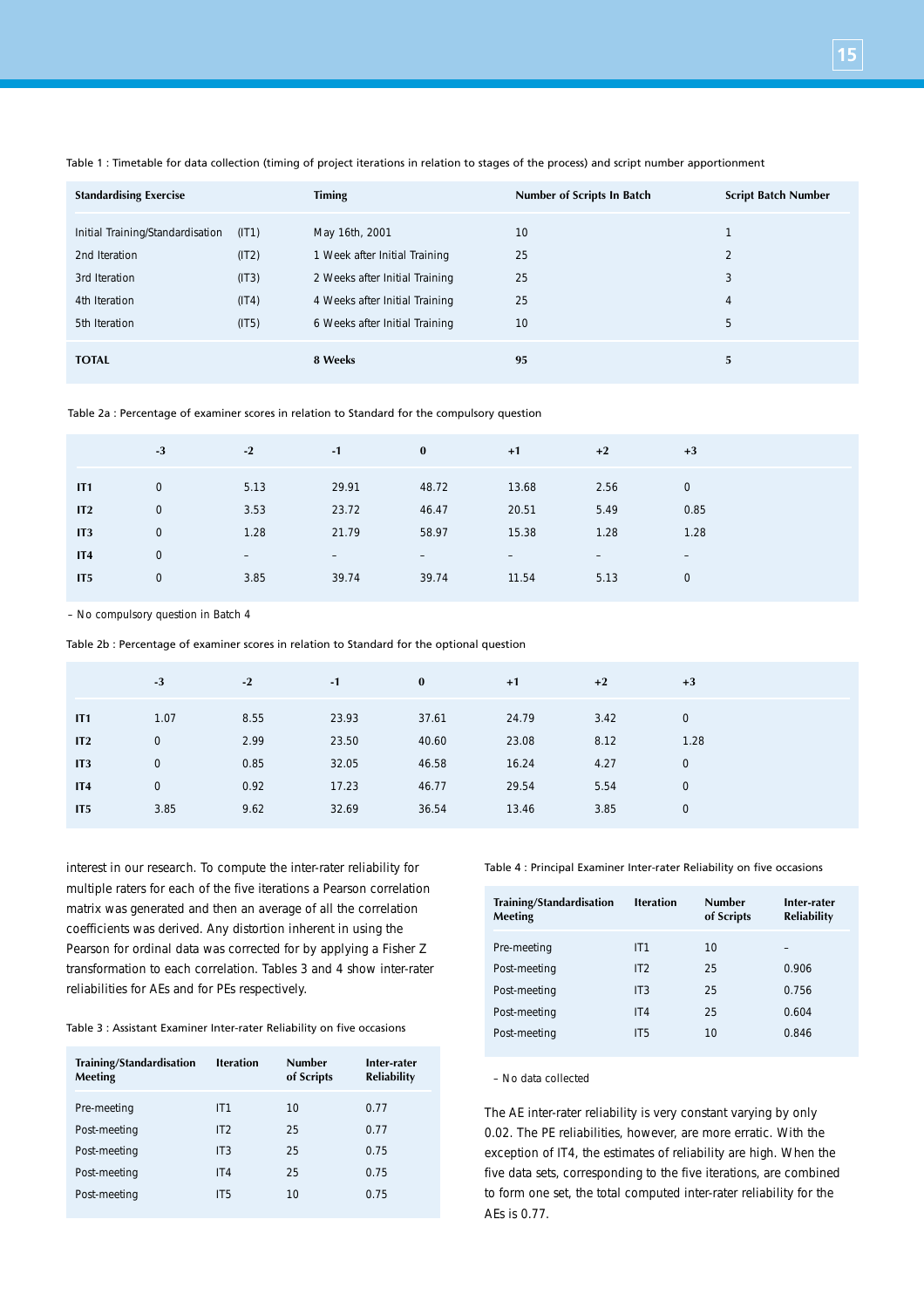| <b>Standardising Exercise</b>    |                | Timing                                                          | Number of Scripts In Batch | <b>Script Batch Number</b>    |
|----------------------------------|----------------|-----------------------------------------------------------------|----------------------------|-------------------------------|
| Initial Training/Standardisation | (IT1)          | May 16th, 2001                                                  | 10                         |                               |
| 2nd Iteration<br>3rd Iteration   | (IT2)<br>(IT3) | 1 Week after Initial Training<br>2 Weeks after Initial Training | 25<br>25                   | $\overline{\mathcal{L}}$<br>3 |
| 4th Iteration                    | (IT4)          | 4 Weeks after Initial Training                                  | 25                         | 4                             |
| 5th Iteration                    | (IT5)          | 6 Weeks after Initial Training                                  | 10                         | 5                             |
| <b>TOTAL</b>                     |                | 8 Weeks                                                         | 95                         | 5                             |

Table 1 : Timetable for data collection (timing of project iterations in relation to stages of the process) and script number apportionment

Table 2a : Percentage of examiner scores in relation to Standard for the compulsory question

| 29.91<br>5.13<br>48.72<br>$\mathbf 0$<br>13.68<br>2.56<br>$\overline{0}$<br>IT1<br>3.53<br>5.49<br>23.72<br>46.47<br>$\mathbf 0$<br>20.51<br>0.85<br>IT2<br>1.28<br>58.97<br>15.38<br>21.79<br>1.28<br>1.28<br>$\mathbf 0$<br>IT <sub>3</sub> |
|-----------------------------------------------------------------------------------------------------------------------------------------------------------------------------------------------------------------------------------------------|
|                                                                                                                                                                                                                                               |
|                                                                                                                                                                                                                                               |
|                                                                                                                                                                                                                                               |
| $\mathbf 0$<br>IT4<br>$\qquad \qquad -$<br>$\qquad \qquad -$<br>$\qquad \qquad -$<br>$-$<br>$\qquad \qquad -$<br>$\qquad \qquad -$                                                                                                            |
| 39.74<br>$\mathbf 0$<br>3.85<br>39.74<br>5.13<br>11.54<br>IT <sub>5</sub><br>$\mathbf 0$                                                                                                                                                      |

– No compulsory question in Batch 4

Table 2b : Percentage of examiner scores in relation to Standard for the optional question

| 1.07<br>8.55<br>23.93<br>24.79<br>37.61<br>3.42<br>IT1             | $\mathbf 0$ |
|--------------------------------------------------------------------|-------------|
| 8.12<br>2.99<br>23.50<br>23.08<br>40.60<br>0<br>IT2                | 1.28        |
| 0.85<br>32.05<br>16.24<br>$\mathbf 0$<br>46.58<br>4.27<br>IT3      | $\mathbf 0$ |
| 0.92<br>17.23<br>5.54<br>$\mathbf 0$<br>46.77<br>29.54<br>IT4      | $\mathbf 0$ |
| 3.85<br>9.62<br>32.69<br>36.54<br>3.85<br>IT <sub>5</sub><br>13.46 | $\mathbf 0$ |

interest in our research. To compute the inter-rater reliability for multiple raters for each of the five iterations a Pearson correlation matrix was generated and then an average of all the correlation coefficients was derived. Any distortion inherent in using the Pearson for ordinal data was corrected for by applying a Fisher Z transformation to each correlation. Tables 3 and 4 show inter-rater reliabilities for AEs and for PEs respectively.

Table 3 : Assistant Examiner Inter-rater Reliability on five occasions

| Training/Standardisation<br><b>Meeting</b> | <b>Iteration</b> | <b>Number</b><br>of Scripts | Inter-rater<br><b>Reliability</b> |
|--------------------------------------------|------------------|-----------------------------|-----------------------------------|
| Pre-meeting                                | IT1              | 10                          | 0.77                              |
| Post-meeting                               | IT2              | 25                          | 0.77                              |
| Post-meeting                               | IT <sub>3</sub>  | 25                          | 0.75                              |
| Post-meeting                               | IT4              | 25                          | 0.75                              |
| Post-meeting                               | IT <sub>5</sub>  | 10                          | 0.75                              |
|                                            |                  |                             |                                   |

Table 4 : Principal Examiner Inter-rater Reliability on five occasions

| Training/Standardisation<br>Meeting | <b>Iteration</b> | <b>Number</b><br>of Scripts | Inter-rater<br><b>Reliability</b> |
|-------------------------------------|------------------|-----------------------------|-----------------------------------|
| Pre-meeting                         | IT1              | 10                          |                                   |
| Post-meeting                        | IT2              | 25                          | 0.906                             |
| Post-meeting                        | IT <sub>3</sub>  | 25                          | 0.756                             |
| Post-meeting                        | IT4              | 25                          | 0.604                             |
| Post-meeting                        | IT <sub>5</sub>  | 10                          | 0.846                             |

– No data collected

The AE inter-rater reliability is very constant varying by only 0.02. The PE reliabilities, however, are more erratic. With the exception of IT4, the estimates of reliability are high. When the five data sets, corresponding to the five iterations, are combined to form one set, the total computed inter-rater reliability for the AEs is 0.77.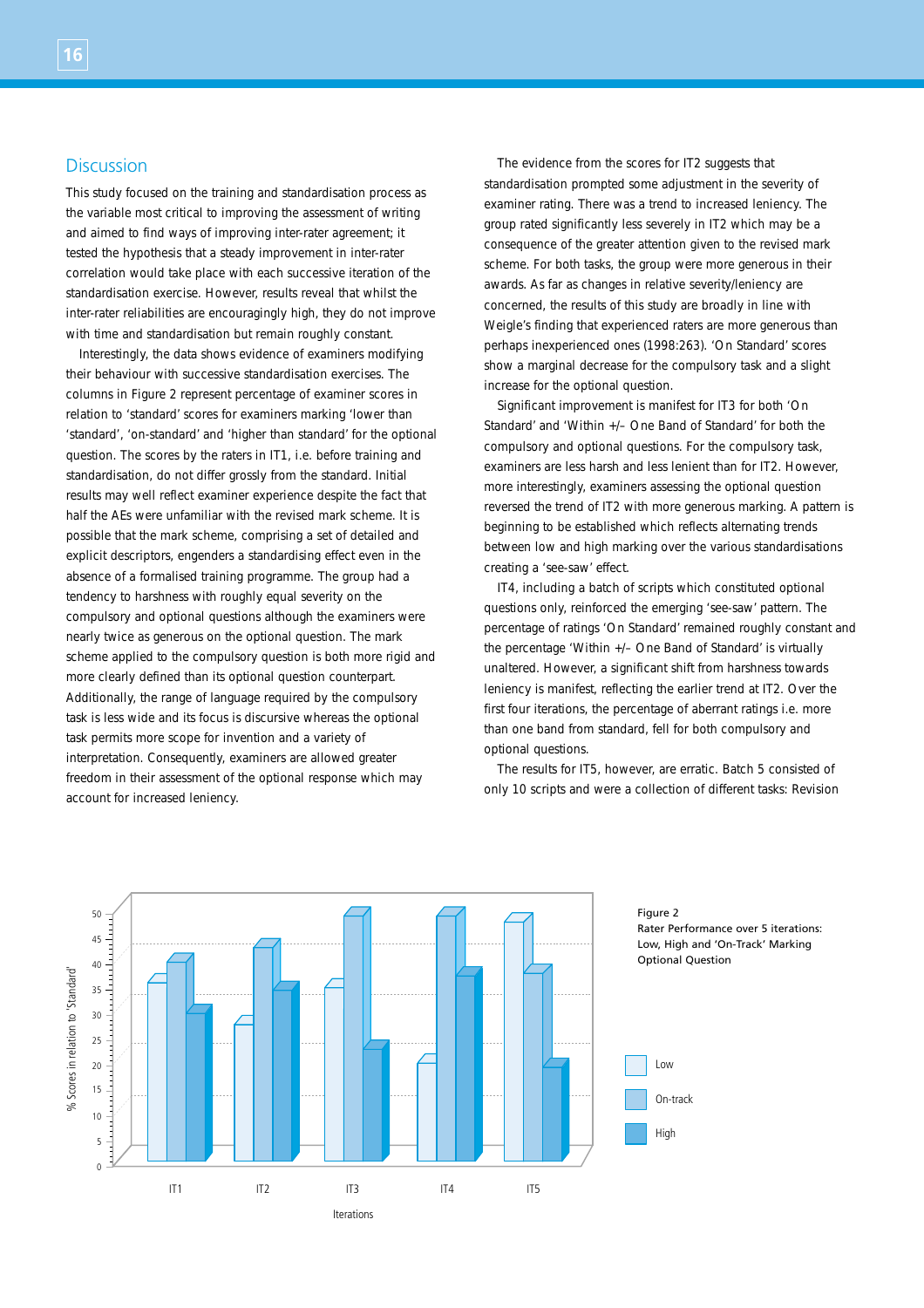# Discussion

**16**

This study focused on the training and standardisation process as the variable most critical to improving the assessment of writing and aimed to find ways of improving inter-rater agreement; it tested the hypothesis that a steady improvement in inter-rater correlation would take place with each successive iteration of the standardisation exercise. However, results reveal that whilst the inter-rater reliabilities are encouragingly high, they do not improve with time and standardisation but remain roughly constant.

Interestingly, the data shows evidence of examiners modifying their behaviour with successive standardisation exercises. The columns in Figure 2 represent percentage of examiner scores in relation to 'standard' scores for examiners marking 'lower than 'standard', 'on-standard' and 'higher than standard' for the optional question. The scores by the raters in IT1, i.e. before training and standardisation, do not differ grossly from the standard. Initial results may well reflect examiner experience despite the fact that half the AEs were unfamiliar with the revised mark scheme. It is possible that the mark scheme, comprising a set of detailed and explicit descriptors, engenders a standardising effect even in the absence of a formalised training programme. The group had a tendency to harshness with roughly equal severity on the compulsory and optional questions although the examiners were nearly twice as generous on the optional question. The mark scheme applied to the compulsory question is both more rigid and more clearly defined than its optional question counterpart. Additionally, the range of language required by the compulsory task is less wide and its focus is discursive whereas the optional task permits more scope for invention and a variety of interpretation. Consequently, examiners are allowed greater freedom in their assessment of the optional response which may account for increased leniency.

The evidence from the scores for IT2 suggests that standardisation prompted some adjustment in the severity of examiner rating. There was a trend to increased leniency. The group rated significantly less severely in IT2 which may be a consequence of the greater attention given to the revised mark scheme. For both tasks, the group were more generous in their awards. As far as changes in relative severity/leniency are concerned, the results of this study are broadly in line with Weigle's finding that experienced raters are more generous than perhaps inexperienced ones (1998:263). 'On Standard' scores show a marginal decrease for the compulsory task and a slight increase for the optional question.

Significant improvement is manifest for IT3 for both 'On Standard' and 'Within +/– One Band of Standard' for both the compulsory and optional questions. For the compulsory task, examiners are less harsh and less lenient than for IT2. However, more interestingly, examiners assessing the optional question reversed the trend of IT2 with more generous marking. A pattern is beginning to be established which reflects alternating trends between low and high marking over the various standardisations creating a 'see-saw' effect.

IT4, including a batch of scripts which constituted optional questions only, reinforced the emerging 'see-saw' pattern. The percentage of ratings 'On Standard' remained roughly constant and the percentage 'Within +/– One Band of Standard' is virtually unaltered. However, a significant shift from harshness towards leniency is manifest, reflecting the earlier trend at IT2. Over the first four iterations, the percentage of aberrant ratings i.e. more than one band from standard, fell for both compulsory and optional questions.

The results for IT5, however, are erratic. Batch 5 consisted of only 10 scripts and were a collection of different tasks: Revision

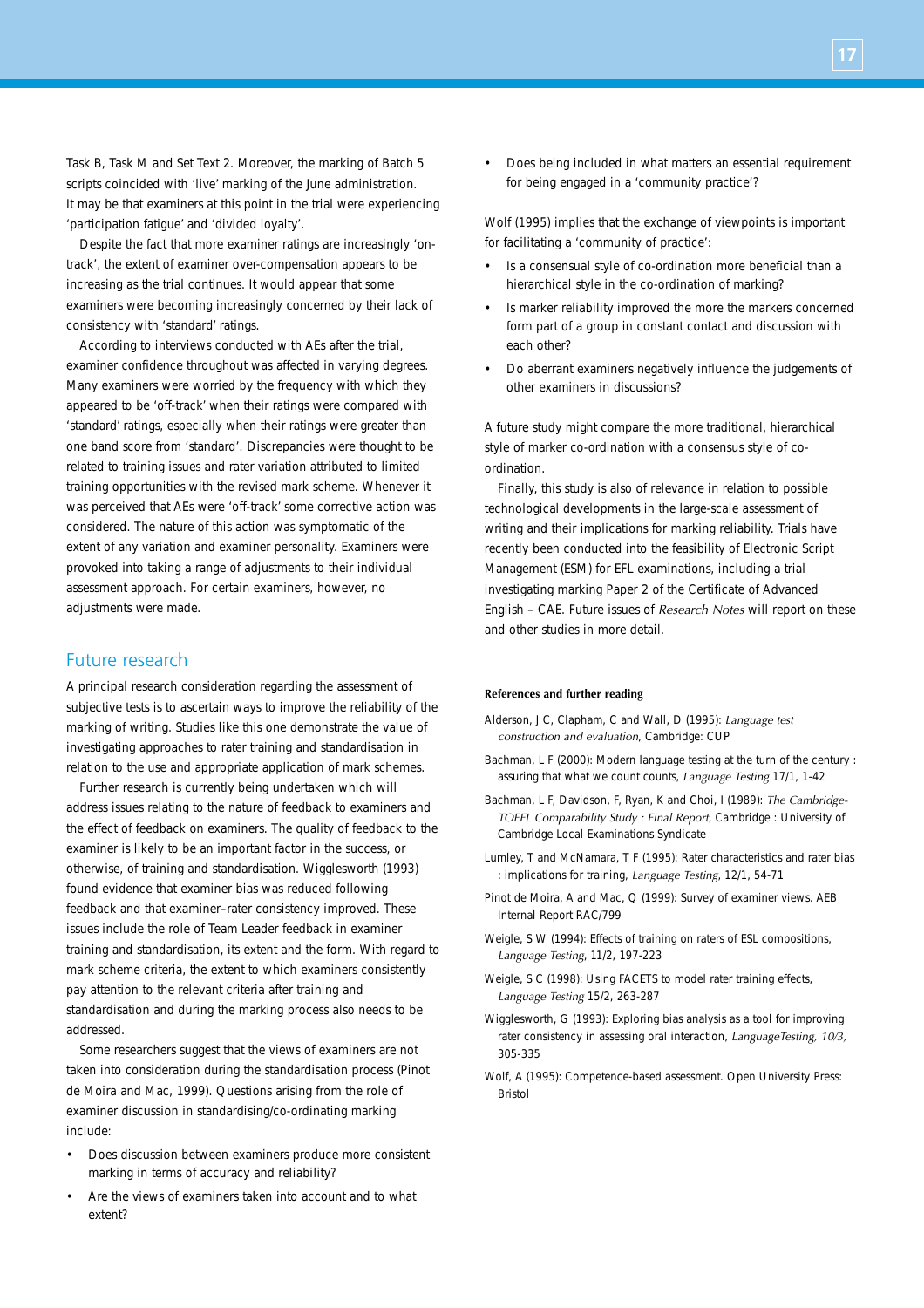Task B, Task M and Set Text 2. Moreover, the marking of Batch 5 scripts coincided with 'live' marking of the June administration. It may be that examiners at this point in the trial were experiencing 'participation fatigue' and 'divided loyalty'.

Despite the fact that more examiner ratings are increasingly 'ontrack', the extent of examiner over-compensation appears to be increasing as the trial continues. It would appear that some examiners were becoming increasingly concerned by their lack of consistency with 'standard' ratings.

According to interviews conducted with AEs after the trial, examiner confidence throughout was affected in varying degrees. Many examiners were worried by the frequency with which they appeared to be 'off-track' when their ratings were compared with 'standard' ratings, especially when their ratings were greater than one band score from 'standard'. Discrepancies were thought to be related to training issues and rater variation attributed to limited training opportunities with the revised mark scheme. Whenever it was perceived that AEs were 'off-track' some corrective action was considered. The nature of this action was symptomatic of the extent of any variation and examiner personality. Examiners were provoked into taking a range of adjustments to their individual assessment approach. For certain examiners, however, no adjustments were made.

## Future research

A principal research consideration regarding the assessment of subjective tests is to ascertain ways to improve the reliability of the marking of writing. Studies like this one demonstrate the value of investigating approaches to rater training and standardisation in relation to the use and appropriate application of mark schemes.

Further research is currently being undertaken which will address issues relating to the nature of feedback to examiners and the effect of feedback on examiners. The quality of feedback to the examiner is likely to be an important factor in the success, or otherwise, of training and standardisation. Wigglesworth (1993) found evidence that examiner bias was reduced following feedback and that examiner–rater consistency improved. These issues include the role of Team Leader feedback in examiner training and standardisation, its extent and the form. With regard to mark scheme criteria, the extent to which examiners consistently pay attention to the relevant criteria after training and standardisation and during the marking process also needs to be addressed.

Some researchers suggest that the views of examiners are not taken into consideration during the standardisation process (Pinot de Moira and Mac, 1999). Questions arising from the role of examiner discussion in standardising/co-ordinating marking include:

- Does discussion between examiners produce more consistent marking in terms of accuracy and reliability?
- Are the views of examiners taken into account and to what extent?

• Does being included in what matters an essential requirement for being engaged in a 'community practice'?

Wolf (1995) implies that the exchange of viewpoints is important for facilitating a 'community of practice':

- Is a consensual style of co-ordination more beneficial than a hierarchical style in the co-ordination of marking?
- Is marker reliability improved the more the markers concerned form part of a group in constant contact and discussion with each other?
- Do aberrant examiners negatively influence the judgements of other examiners in discussions?

A future study might compare the more traditional, hierarchical style of marker co-ordination with a consensus style of coordination.

Finally, this study is also of relevance in relation to possible technological developments in the large-scale assessment of writing and their implications for marking reliability. Trials have recently been conducted into the feasibility of Electronic Script Management (ESM) for EFL examinations, including a trial investigating marking Paper 2 of the Certificate of Advanced English – CAE. Future issues of *Research Notes* will report on these and other studies in more detail.

#### **References and further reading**

- Alderson, J C, Clapham, C and Wall, D (1995): *Language test construction and evaluation*, Cambridge: CUP
- Bachman, L F (2000): Modern language testing at the turn of the century : assuring that what we count counts, *Language Testing* 17/1, 1-42
- Bachman, L F, Davidson, F, Ryan, K and Choi, I (1989): *The Cambridge-TOEFL Comparability Study : Final Report*, Cambridge : University of Cambridge Local Examinations Syndicate
- Lumley, T and McNamara, T F (1995): Rater characteristics and rater bias : implications for training, *Language Testing*, 12/1, 54-71
- Pinot de Moira, A and Mac, Q (1999): Survey of examiner views. AEB Internal Report RAC/799
- Weigle, S W (1994): Effects of training on raters of ESL compositions, *Language Testing*, 11/2, 197-223
- Weigle, S C (1998): Using FACETS to model rater training effects, *Language Testing* 15/2, 263-287
- Wigglesworth, G (1993): Exploring bias analysis as a tool for improving rater consistency in assessing oral interaction, *LanguageTesting, 10/3,* 305-335
- Wolf, A (1995): Competence-based assessment. Open University Press: Bristol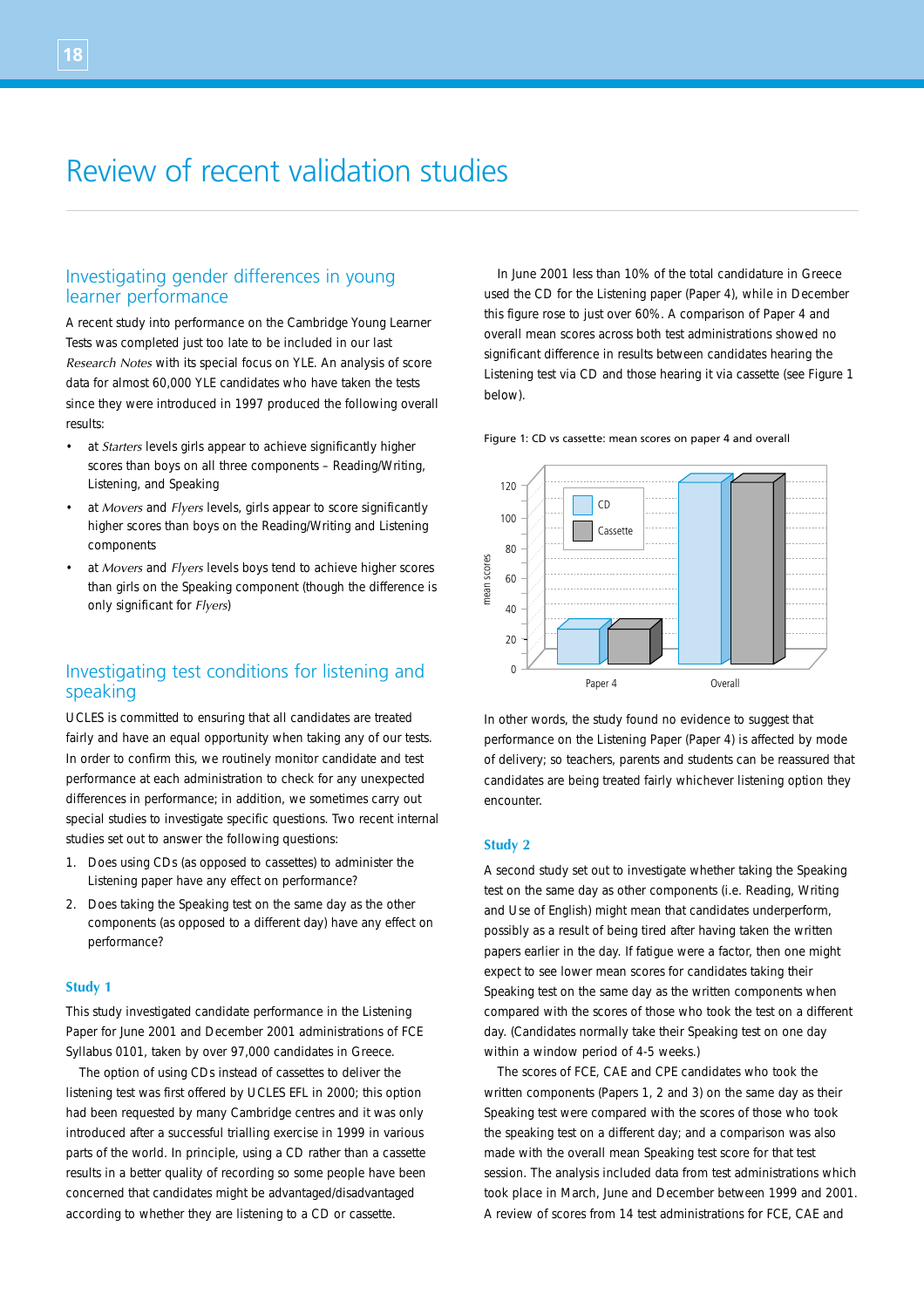# Review of recent validation studies

## Investigating gender differences in young learner performance

A recent study into performance on the Cambridge Young Learner Tests was completed just too late to be included in our last *Research Notes* with its special focus on YLE. An analysis of score data for almost 60,000 YLE candidates who have taken the tests since they were introduced in 1997 produced the following overall results:

- at *Starters* levels girls appear to achieve significantly higher scores than boys on all three components – Reading/Writing, Listening, and Speaking
- at *Movers* and *Flyers* levels, girls appear to score significantly higher scores than boys on the Reading/Writing and Listening components
- at *Movers* and *Flyers* levels boys tend to achieve higher scores than girls on the Speaking component (though the difference is only significant for *Flyers*)

# Investigating test conditions for listening and speaking

UCLES is committed to ensuring that all candidates are treated fairly and have an equal opportunity when taking any of our tests. In order to confirm this, we routinely monitor candidate and test performance at each administration to check for any unexpected differences in performance; in addition, we sometimes carry out special studies to investigate specific questions. Two recent internal studies set out to answer the following questions:

- 1. Does using CDs (as opposed to cassettes) to administer the Listening paper have any effect on performance?
- 2. Does taking the Speaking test on the same day as the other components (as opposed to a different day) have any effect on performance?

### **Study 1**

This study investigated candidate performance in the Listening Paper for June 2001 and December 2001 administrations of FCE Syllabus 0101, taken by over 97,000 candidates in Greece.

The option of using CDs instead of cassettes to deliver the listening test was first offered by UCLES EFL in 2000; this option had been requested by many Cambridge centres and it was only introduced after a successful trialling exercise in 1999 in various parts of the world. In principle, using a CD rather than a cassette results in a better quality of recording so some people have been concerned that candidates might be advantaged/disadvantaged according to whether they are listening to a CD or cassette.

In June 2001 less than 10% of the total candidature in Greece used the CD for the Listening paper (Paper 4), while in December this figure rose to just over 60%. A comparison of Paper 4 and overall mean scores across both test administrations showed no significant difference in results between candidates hearing the Listening test via CD and those hearing it via cassette (see Figure 1 below).

#### Figure 1: CD vs cassette: mean scores on paper 4 and overall



In other words, the study found no evidence to suggest that performance on the Listening Paper (Paper 4) is affected by mode of delivery; so teachers, parents and students can be reassured that candidates are being treated fairly whichever listening option they encounter.

### **Study 2**

A second study set out to investigate whether taking the Speaking test on the same day as other components (i.e. Reading, Writing and Use of English) might mean that candidates underperform, possibly as a result of being tired after having taken the written papers earlier in the day. If fatigue were a factor, then one might expect to see lower mean scores for candidates taking their Speaking test on the same day as the written components when compared with the scores of those who took the test on a different day. (Candidates normally take their Speaking test on one day within a window period of 4-5 weeks.)

The scores of FCE, CAE and CPE candidates who took the written components (Papers 1, 2 and 3) on the same day as their Speaking test were compared with the scores of those who took the speaking test on a different day; and a comparison was also made with the overall mean Speaking test score for that test session. The analysis included data from test administrations which took place in March, June and December between 1999 and 2001. A review of scores from 14 test administrations for FCE, CAE and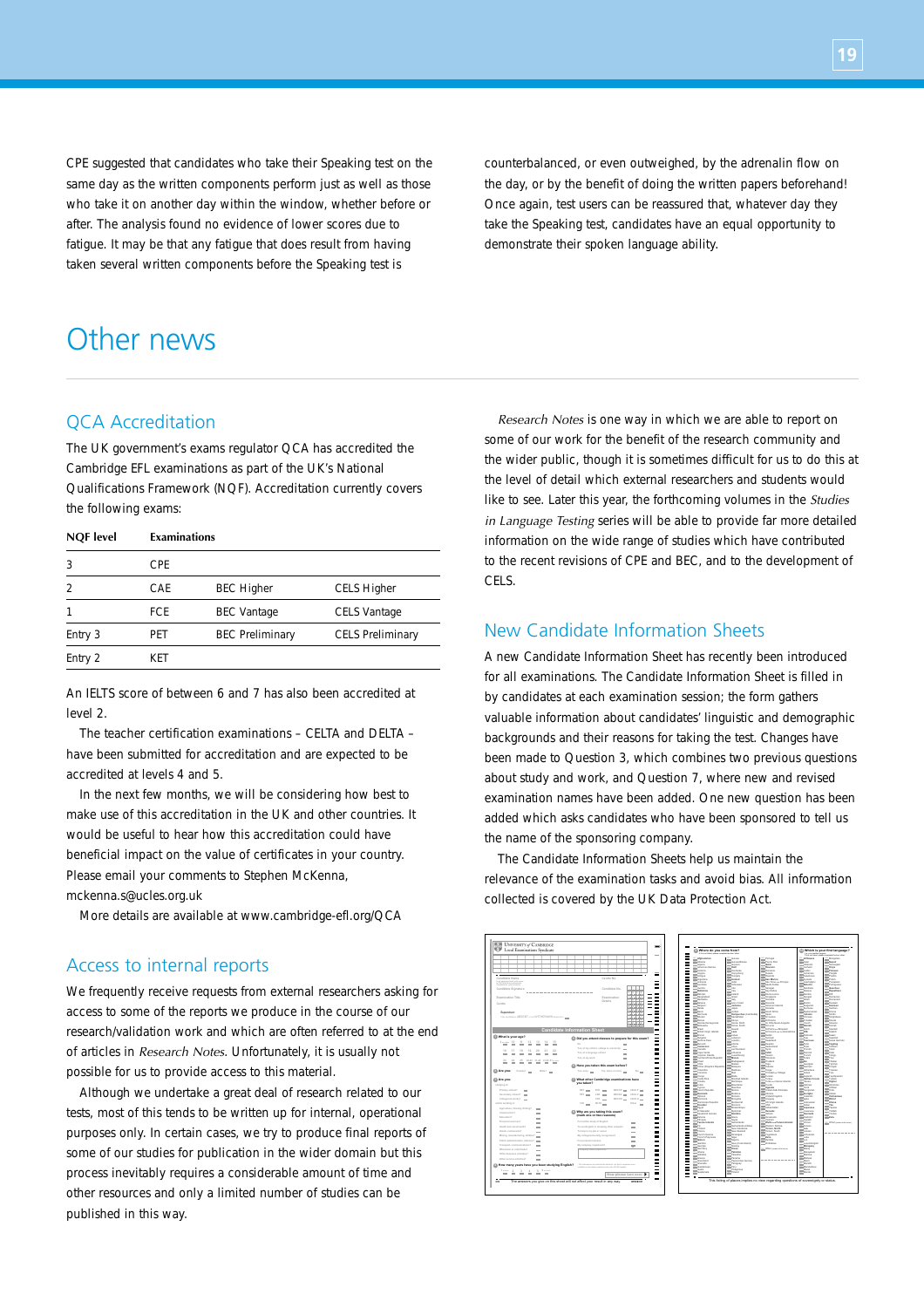CPE suggested that candidates who take their Speaking test on the same day as the written components perform just as well as those who take it on another day within the window, whether before or after. The analysis found no evidence of lower scores due to fatigue. It may be that any fatigue that does result from having taken several written components before the Speaking test is

counterbalanced, or even outweighed, by the adrenalin flow on the day, or by the benefit of doing the written papers beforehand! Once again, test users can be reassured that, whatever day they take the Speaking test, candidates have an equal opportunity to demonstrate their spoken language ability.

# Other news

# QCA Accreditation

The UK government's exams regulator QCA has accredited the Cambridge EFL examinations as part of the UK's National Qualifications Framework (NQF). Accreditation currently covers the following exams:

| <b>NQF</b> level | Examinations |                        |                         |
|------------------|--------------|------------------------|-------------------------|
| 3                | CPF          |                        |                         |
| $\mathcal{P}$    | CAF          | <b>BEC Higher</b>      | <b>CELS Higher</b>      |
|                  | FCF.         | <b>BEC</b> Vantage     | <b>CELS Vantage</b>     |
| Entry 3          | PFT          | <b>BEC Preliminary</b> | <b>CELS Preliminary</b> |
| Entry 2          | KFT          |                        |                         |

An IELTS score of between 6 and 7 has also been accredited at level 2.

The teacher certification examinations – CELTA and DELTA – have been submitted for accreditation and are expected to be accredited at levels 4 and 5.

In the next few months, we will be considering how best to make use of this accreditation in the UK and other countries. It would be useful to hear how this accreditation could have beneficial impact on the value of certificates in your country. Please email your comments to Stephen McKenna,

mckenna.s@ucles.org.uk

More details are available at www.cambridge-efl.org/QCA

## Access to internal reports

We frequently receive requests from external researchers asking for access to some of the reports we produce in the course of our research/validation work and which are often referred to at the end of articles in *Research Notes*. Unfortunately, it is usually not possible for us to provide access to this material.

Although we undertake a great deal of research related to our tests, most of this tends to be written up for internal, operational purposes only. In certain cases, we try to produce final reports of some of our studies for publication in the wider domain but this process inevitably requires a considerable amount of time and other resources and only a limited number of studies can be published in this way.

*Research Notes* is one way in which we are able to report on some of our work for the benefit of the research community and the wider public, though it is sometimes difficult for us to do this at the level of detail which external researchers and students would like to see. Later this year, the forthcoming volumes in the *Studies in Language Testing* series will be able to provide far more detailed information on the wide range of studies which have contributed to the recent revisions of CPE and BEC, and to the development of CELS.

## New Candidate Information Sheets

A new Candidate Information Sheet has recently been introduced for all examinations. The Candidate Information Sheet is filled in by candidates at each examination session; the form gathers valuable information about candidates' linguistic and demographic backgrounds and their reasons for taking the test. Changes have been made to Question 3, which combines two previous questions about study and work, and Question 7, where new and revised examination names have been added. One new question has been added which asks candidates who have been sponsored to tell us the name of the sponsoring company.

The Candidate Information Sheets help us maintain the relevance of the examination tasks and avoid bias. All information collected is covered by the UK Data Protection Act.



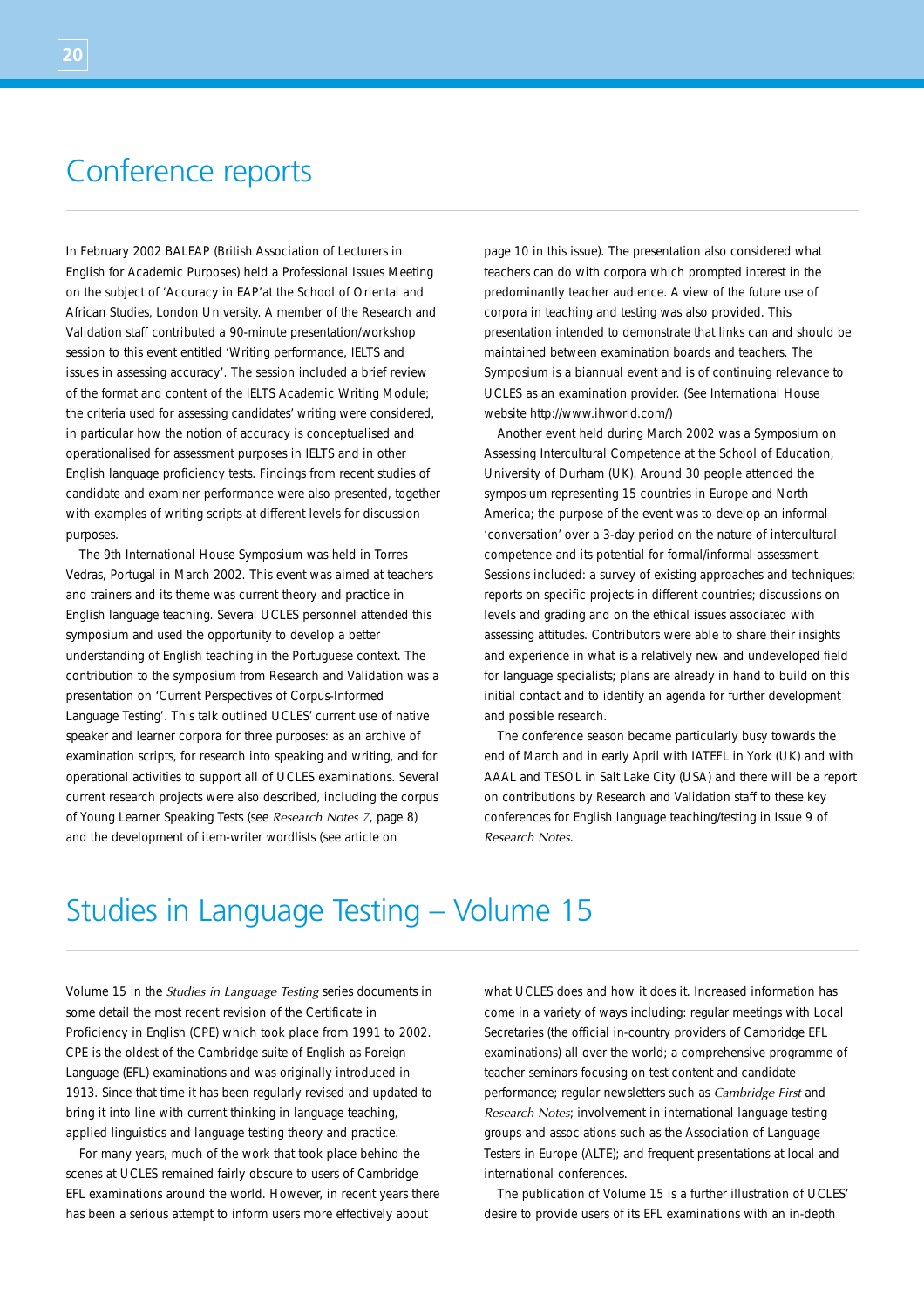# Conference reports

In February 2002 BALEAP (British Association of Lecturers in English for Academic Purposes) held a Professional Issues Meeting on the subject of 'Accuracy in EAP'at the School of Oriental and African Studies, London University. A member of the Research and Validation staff contributed a 90-minute presentation/workshop session to this event entitled 'Writing performance, IELTS and issues in assessing accuracy'. The session included a brief review of the format and content of the IELTS Academic Writing Module; the criteria used for assessing candidates' writing were considered, in particular how the notion of accuracy is conceptualised and operationalised for assessment purposes in IELTS and in other English language proficiency tests. Findings from recent studies of candidate and examiner performance were also presented, together with examples of writing scripts at different levels for discussion purposes.

The 9th International House Symposium was held in Torres Vedras, Portugal in March 2002. This event was aimed at teachers and trainers and its theme was current theory and practice in English language teaching. Several UCLES personnel attended this symposium and used the opportunity to develop a better understanding of English teaching in the Portuguese context. The contribution to the symposium from Research and Validation was a presentation on 'Current Perspectives of Corpus-Informed Language Testing'. This talk outlined UCLES' current use of native speaker and learner corpora for three purposes: as an archive of examination scripts, for research into speaking and writing, and for operational activities to support all of UCLES examinations. Several current research projects were also described, including the corpus of Young Learner Speaking Tests (see *Research Notes 7*, page 8) and the development of item-writer wordlists (see article on

page 10 in this issue). The presentation also considered what teachers can do with corpora which prompted interest in the predominantly teacher audience. A view of the future use of corpora in teaching and testing was also provided. This presentation intended to demonstrate that links can and should be maintained between examination boards and teachers. The Symposium is a biannual event and is of continuing relevance to UCLES as an examination provider. (See International House website http://www.ihworld.com/)

Another event held during March 2002 was a Symposium on Assessing Intercultural Competence at the School of Education, University of Durham (UK). Around 30 people attended the symposium representing 15 countries in Europe and North America; the purpose of the event was to develop an informal 'conversation' over a 3-day period on the nature of intercultural competence and its potential for formal/informal assessment. Sessions included: a survey of existing approaches and techniques; reports on specific projects in different countries; discussions on levels and grading and on the ethical issues associated with assessing attitudes. Contributors were able to share their insights and experience in what is a relatively new and undeveloped field for language specialists; plans are already in hand to build on this initial contact and to identify an agenda for further development and possible research.

The conference season became particularly busy towards the end of March and in early April with IATEFL in York (UK) and with AAAL and TESOL in Salt Lake City (USA) and there will be a report on contributions by Research and Validation staff to these key conferences for English language teaching/testing in Issue 9 of *Research Notes*.

# Studies in Language Testing – Volume 15

Volume 15 in the *Studies in Language Testing* series documents in some detail the most recent revision of the Certificate in Proficiency in English (CPE) which took place from 1991 to 2002. CPE is the oldest of the Cambridge suite of English as Foreign Language (EFL) examinations and was originally introduced in 1913. Since that time it has been regularly revised and updated to bring it into line with current thinking in language teaching, applied linguistics and language testing theory and practice.

For many years, much of the work that took place behind the scenes at UCLES remained fairly obscure to users of Cambridge EFL examinations around the world. However, in recent years there has been a serious attempt to inform users more effectively about

what UCLES does and how it does it. Increased information has come in a variety of ways including: regular meetings with Local Secretaries (the official in-country providers of Cambridge EFL examinations) all over the world; a comprehensive programme of teacher seminars focusing on test content and candidate performance; regular newsletters such as *Cambridge First* and *Research Notes*; involvement in international language testing groups and associations such as the Association of Language Testers in Europe (ALTE); and frequent presentations at local and international conferences.

The publication of Volume 15 is a further illustration of UCLES' desire to provide users of its EFL examinations with an in-depth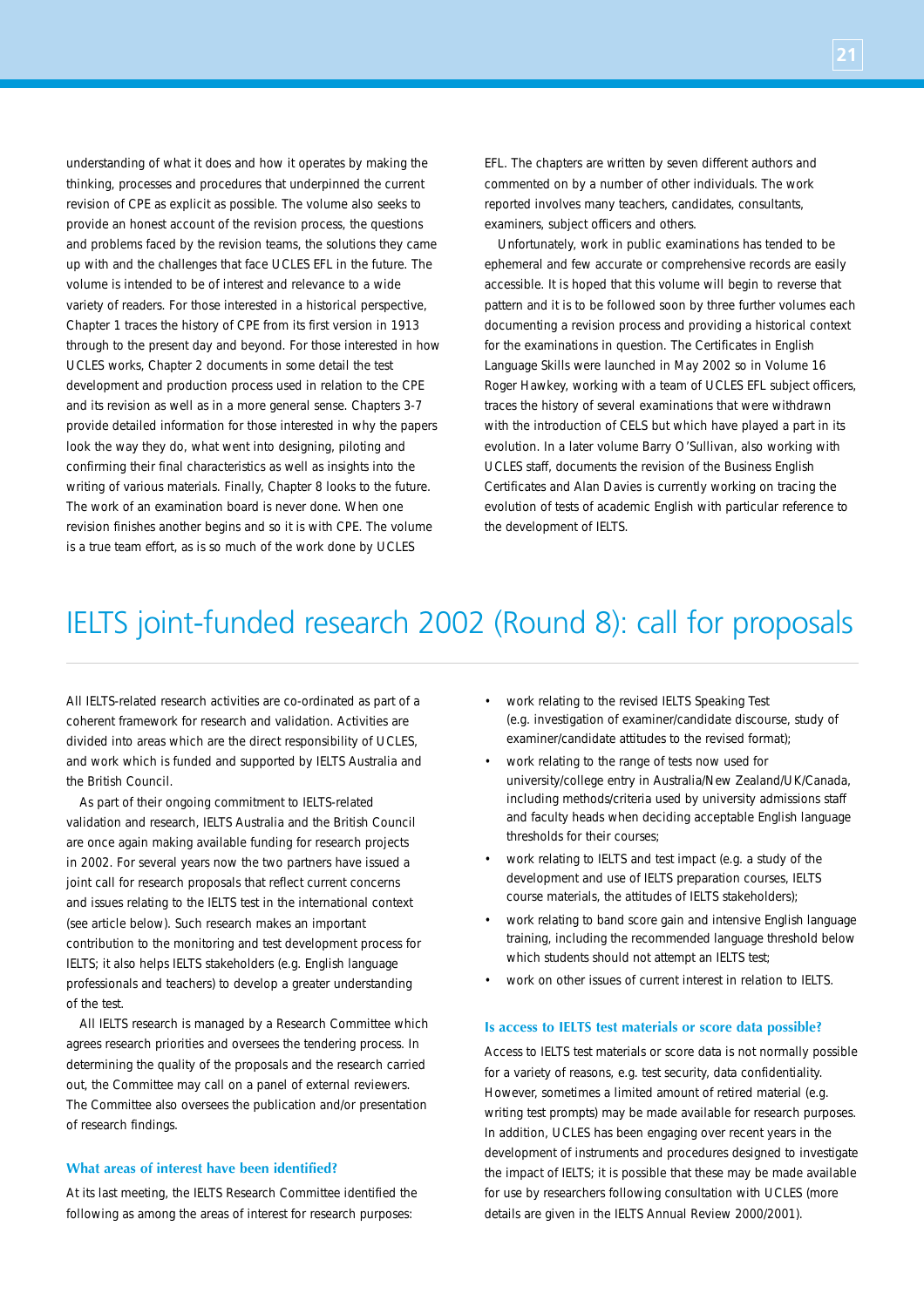**21**

understanding of what it does and how it operates by making the thinking, processes and procedures that underpinned the current revision of CPE as explicit as possible. The volume also seeks to provide an honest account of the revision process, the questions and problems faced by the revision teams, the solutions they came up with and the challenges that face UCLES EFL in the future. The volume is intended to be of interest and relevance to a wide variety of readers. For those interested in a historical perspective, Chapter 1 traces the history of CPE from its first version in 1913 through to the present day and beyond. For those interested in how UCLES works, Chapter 2 documents in some detail the test development and production process used in relation to the CPE and its revision as well as in a more general sense. Chapters 3-7 provide detailed information for those interested in why the papers look the way they do, what went into designing, piloting and confirming their final characteristics as well as insights into the writing of various materials. Finally, Chapter 8 looks to the future. The work of an examination board is never done. When one revision finishes another begins and so it is with CPE. The volume is a true team effort, as is so much of the work done by UCLES

EFL. The chapters are written by seven different authors and commented on by a number of other individuals. The work reported involves many teachers, candidates, consultants, examiners, subject officers and others.

Unfortunately, work in public examinations has tended to be ephemeral and few accurate or comprehensive records are easily accessible. It is hoped that this volume will begin to reverse that pattern and it is to be followed soon by three further volumes each documenting a revision process and providing a historical context for the examinations in question. The Certificates in English Language Skills were launched in May 2002 so in Volume 16 Roger Hawkey, working with a team of UCLES EFL subject officers, traces the history of several examinations that were withdrawn with the introduction of CELS but which have played a part in its evolution. In a later volume Barry O'Sullivan, also working with UCLES staff, documents the revision of the Business English Certificates and Alan Davies is currently working on tracing the evolution of tests of academic English with particular reference to the development of IELTS.

# IELTS joint-funded research 2002 (Round 8): call for proposals

All IELTS-related research activities are co-ordinated as part of a coherent framework for research and validation. Activities are divided into areas which are the direct responsibility of UCLES, and work which is funded and supported by IELTS Australia and the British Council.

As part of their ongoing commitment to IELTS-related validation and research, IELTS Australia and the British Council are once again making available funding for research projects in 2002. For several years now the two partners have issued a joint call for research proposals that reflect current concerns and issues relating to the IELTS test in the international context (see article below). Such research makes an important contribution to the monitoring and test development process for IELTS; it also helps IELTS stakeholders (e.g. English language professionals and teachers) to develop a greater understanding of the test.

All IELTS research is managed by a Research Committee which agrees research priorities and oversees the tendering process. In determining the quality of the proposals and the research carried out, the Committee may call on a panel of external reviewers. The Committee also oversees the publication and/or presentation of research findings.

## **What areas of interest have been identified?**

At its last meeting, the IELTS Research Committee identified the following as among the areas of interest for research purposes:

- work relating to the revised IELTS Speaking Test (e.g. investigation of examiner/candidate discourse, study of examiner/candidate attitudes to the revised format);
- work relating to the range of tests now used for university/college entry in Australia/New Zealand/UK/Canada, including methods/criteria used by university admissions staff and faculty heads when deciding acceptable English language thresholds for their courses;
- work relating to IELTS and test impact (e.g. a study of the development and use of IELTS preparation courses, IELTS course materials, the attitudes of IELTS stakeholders);
- work relating to band score gain and intensive English language training, including the recommended language threshold below which students should not attempt an IELTS test;
- work on other issues of current interest in relation to IELTS.

### **Is access to IELTS test materials or score data possible?**

Access to IELTS test materials or score data is not normally possible for a variety of reasons, e.g. test security, data confidentiality. However, sometimes a limited amount of retired material (e.g. writing test prompts) may be made available for research purposes. In addition, UCLES has been engaging over recent years in the development of instruments and procedures designed to investigate the impact of IELTS; it is possible that these may be made available for use by researchers following consultation with UCLES (more details are given in the IELTS Annual Review 2000/2001).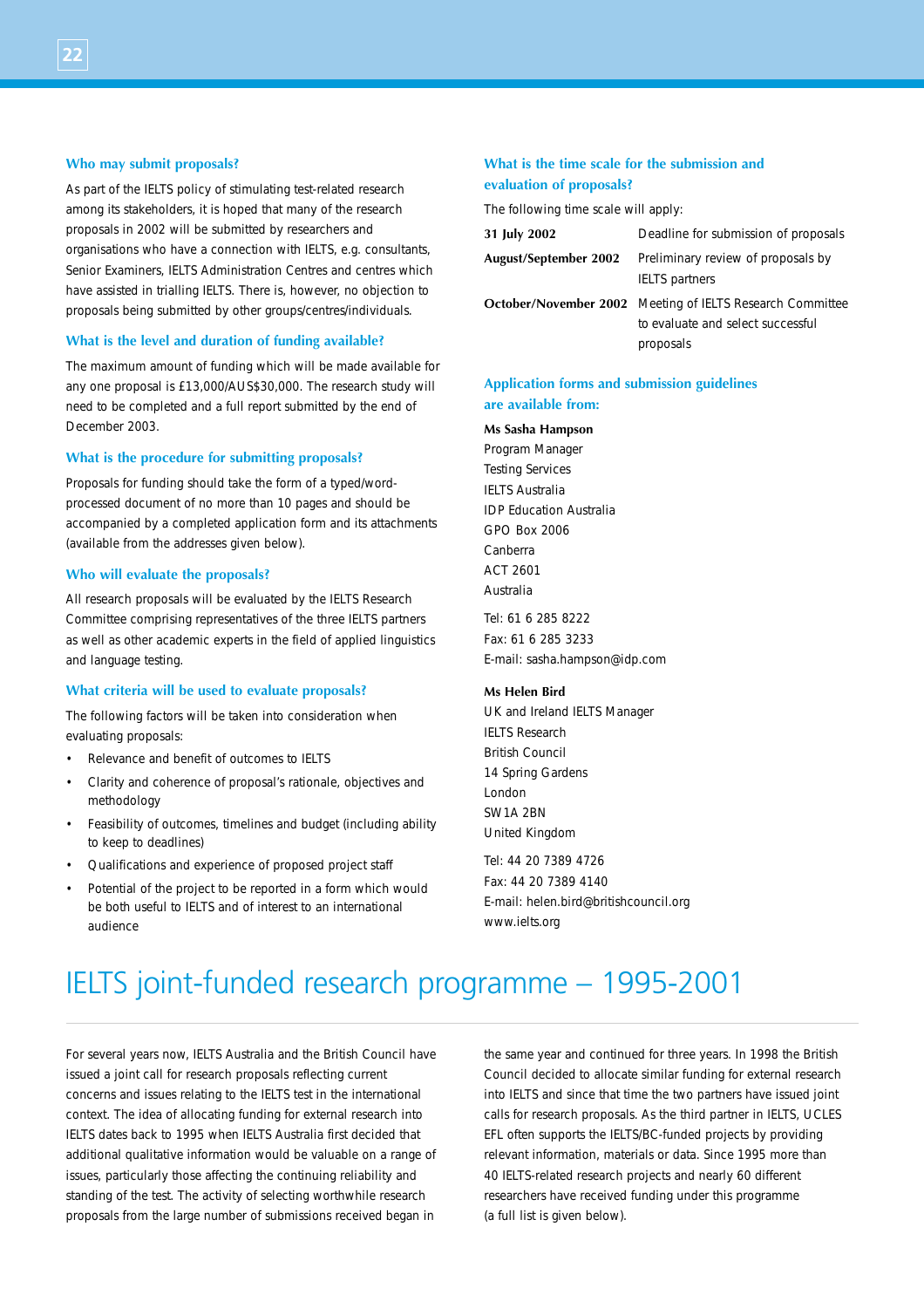#### **Who may submit proposals?**

As part of the IELTS policy of stimulating test-related research among its stakeholders, it is hoped that many of the research proposals in 2002 will be submitted by researchers and organisations who have a connection with IELTS, e.g. consultants, Senior Examiners, IELTS Administration Centres and centres which have assisted in trialling IELTS. There is, however, no objection to proposals being submitted by other groups/centres/individuals.

### **What is the level and duration of funding available?**

The maximum amount of funding which will be made available for any one proposal is £13,000/AUS\$30,000. The research study will need to be completed and a full report submitted by the end of December 2003.

### **What is the procedure for submitting proposals?**

Proposals for funding should take the form of a typed/wordprocessed document of no more than 10 pages and should be accompanied by a completed application form and its attachments (available from the addresses given below).

### **Who will evaluate the proposals?**

All research proposals will be evaluated by the IELTS Research Committee comprising representatives of the three IELTS partners as well as other academic experts in the field of applied linguistics and language testing.

### **What criteria will be used to evaluate proposals?**

The following factors will be taken into consideration when evaluating proposals:

- Relevance and benefit of outcomes to IELTS
- Clarity and coherence of proposal's rationale, objectives and methodology
- Feasibility of outcomes, timelines and budget (including ability to keep to deadlines)
- Qualifications and experience of proposed project staff
- Potential of the project to be reported in a form which would be both useful to IELTS and of interest to an international audience

## **What is the time scale for the submission and evaluation of proposals?**

The following time scale will apply:

| 31 July 2002          | Deadline for submission of proposals                                                                               |
|-----------------------|--------------------------------------------------------------------------------------------------------------------|
| August/September 2002 | Preliminary review of proposals by<br><b>IELTS</b> partners                                                        |
|                       | <b>October/November 2002</b> Meeting of IELTS Research Committee<br>to evaluate and select successful<br>proposals |

## **Application forms and submission guidelines are available from:**

#### **Ms Sasha Hampson**

Program Manager Testing Services IELTS Australia IDP Education Australia GPO Box 2006 Canberra ACT 2601 Australia

Tel: 61 6 285 8222 Fax: 61 6 285 3233 E-mail: sasha.hampson@idp.com

#### **Ms Helen Bird**

UK and Ireland IELTS Manager IELTS Research British Council 14 Spring Gardens London SM<sub>1</sub>A 2RN United Kingdom

Tel: 44 20 7389 4726 Fax: 44 20 7389 4140 E-mail: helen.bird@britishcouncil.org www.ielts.org

# IELTS joint-funded research programme – 1995-2001

For several years now, IELTS Australia and the British Council have issued a joint call for research proposals reflecting current concerns and issues relating to the IELTS test in the international context. The idea of allocating funding for external research into IELTS dates back to 1995 when IELTS Australia first decided that additional qualitative information would be valuable on a range of issues, particularly those affecting the continuing reliability and standing of the test. The activity of selecting worthwhile research proposals from the large number of submissions received began in

the same year and continued for three years. In 1998 the British Council decided to allocate similar funding for external research into IELTS and since that time the two partners have issued joint calls for research proposals. As the third partner in IELTS, UCLES EFL often supports the IELTS/BC-funded projects by providing relevant information, materials or data. Since 1995 more than 40 IELTS-related research projects and nearly 60 different researchers have received funding under this programme (a full list is given below).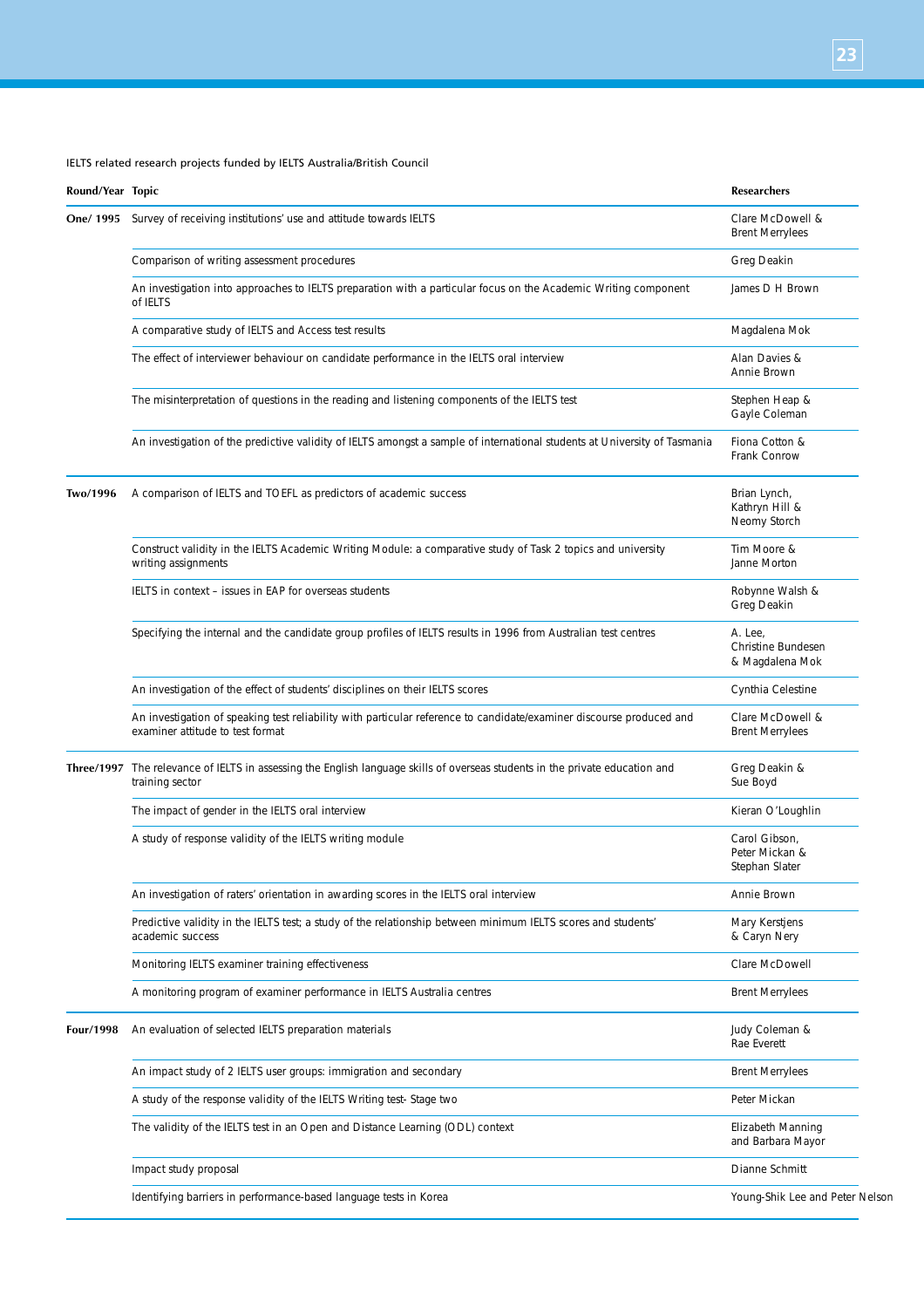## IELTS related research projects funded by IELTS Australia/British Council

| Round/Year Topic |                                                                                                                                                          | <b>Researchers</b>                                |
|------------------|----------------------------------------------------------------------------------------------------------------------------------------------------------|---------------------------------------------------|
|                  | <b>One/1995</b> Survey of receiving institutions' use and attitude towards IELTS                                                                         | Clare McDowell &<br><b>Brent Merrylees</b>        |
|                  | Comparison of writing assessment procedures                                                                                                              | Greg Deakin                                       |
|                  | An investigation into approaches to IELTS preparation with a particular focus on the Academic Writing component<br>of IELTS                              | James D H Brown                                   |
|                  | A comparative study of IELTS and Access test results                                                                                                     | Magdalena Mok                                     |
|                  | The effect of interviewer behaviour on candidate performance in the IELTS oral interview                                                                 | Alan Davies &<br>Annie Brown                      |
|                  | The misinterpretation of questions in the reading and listening components of the IELTS test                                                             | Stephen Heap &<br>Gayle Coleman                   |
|                  | An investigation of the predictive validity of IELTS amongst a sample of international students at University of Tasmania                                | Fiona Cotton &<br>Frank Conrow                    |
| Two/1996         | A comparison of IELTS and TOEFL as predictors of academic success                                                                                        | Brian Lynch,<br>Kathryn Hill &<br>Neomy Storch    |
|                  | Construct validity in the IELTS Academic Writing Module: a comparative study of Task 2 topics and university<br>writing assignments                      | Tim Moore &<br>Janne Morton                       |
|                  | IELTS in context - issues in EAP for overseas students                                                                                                   | Robynne Walsh &<br>Greg Deakin                    |
|                  | Specifying the internal and the candidate group profiles of IELTS results in 1996 from Australian test centres                                           | A. Lee,<br>Christine Bundesen<br>& Magdalena Mok  |
|                  | An investigation of the effect of students' disciplines on their IELTS scores                                                                            | Cynthia Celestine                                 |
|                  | An investigation of speaking test reliability with particular reference to candidate/examiner discourse produced and<br>examiner attitude to test format | Clare McDowell &<br><b>Brent Merrylees</b>        |
|                  | Three/1997 The relevance of IELTS in assessing the English language skills of overseas students in the private education and<br>training sector          | Greg Deakin &<br>Sue Boyd                         |
|                  | The impact of gender in the IELTS oral interview                                                                                                         | Kieran O'Loughlin                                 |
|                  | A study of response validity of the IELTS writing module                                                                                                 | Carol Gibson,<br>Peter Mickan &<br>Stephan Slater |
|                  | An investigation of raters' orientation in awarding scores in the IELTS oral interview                                                                   | Annie Brown                                       |
|                  | Predictive validity in the IELTS test; a study of the relationship between minimum IELTS scores and students'<br>academic success                        | Mary Kerstjens<br>& Caryn Nery                    |
|                  | Monitoring IELTS examiner training effectiveness                                                                                                         | Clare McDowell                                    |
|                  | A monitoring program of examiner performance in IELTS Australia centres                                                                                  | <b>Brent Merrylees</b>                            |
| Four/1998        | An evaluation of selected IELTS preparation materials                                                                                                    | Judy Coleman &<br>Rae Everett                     |
|                  | An impact study of 2 IELTS user groups: immigration and secondary                                                                                        | <b>Brent Merrylees</b>                            |
|                  | A study of the response validity of the IELTS Writing test- Stage two                                                                                    | Peter Mickan                                      |
|                  | The validity of the IELTS test in an Open and Distance Learning (ODL) context                                                                            | Elizabeth Manning<br>and Barbara Mayor            |
|                  | Impact study proposal                                                                                                                                    | Dianne Schmitt                                    |
|                  | Identifying barriers in performance-based language tests in Korea                                                                                        | Young-Shik Lee and Peter Nelson                   |